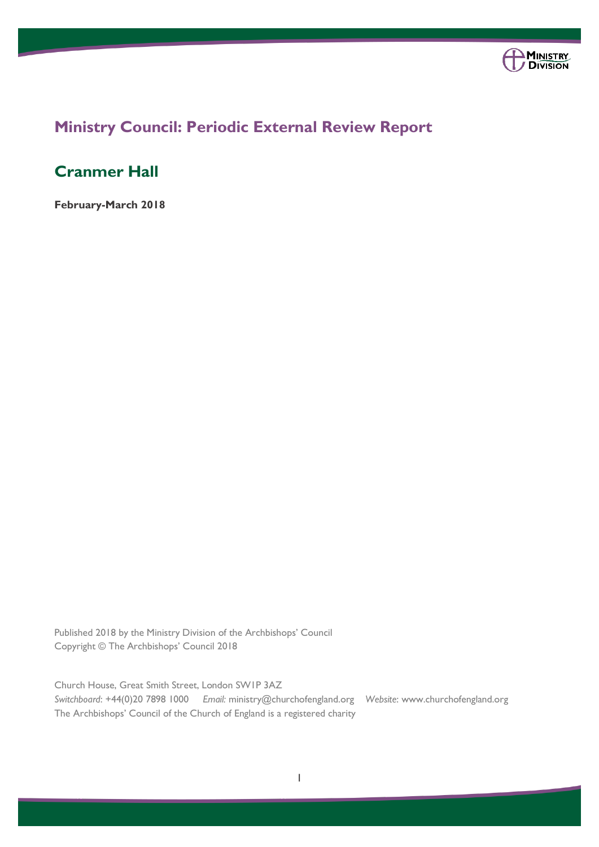

# **Ministry Council: Periodic External Review Report**

# **Cranmer Hall**

**February-March 2018**

Published 2018 by the Ministry Division of the Archbishops' Council Copyright © The Archbishops' Council 2018

Church House, Great Smith Street, London SW1P 3AZ *Switchboard*: +44(0)20 7898 1000 *Email:* ministry@churchofengland.org *Website*: www.churchofengland.org The Archbishops' Council of the Church of England is a registered charity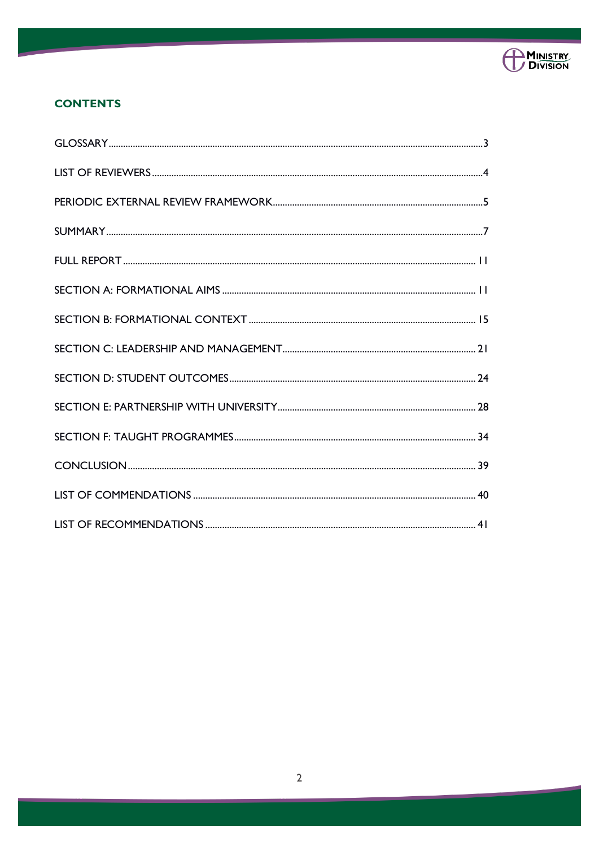

### **CONTENTS**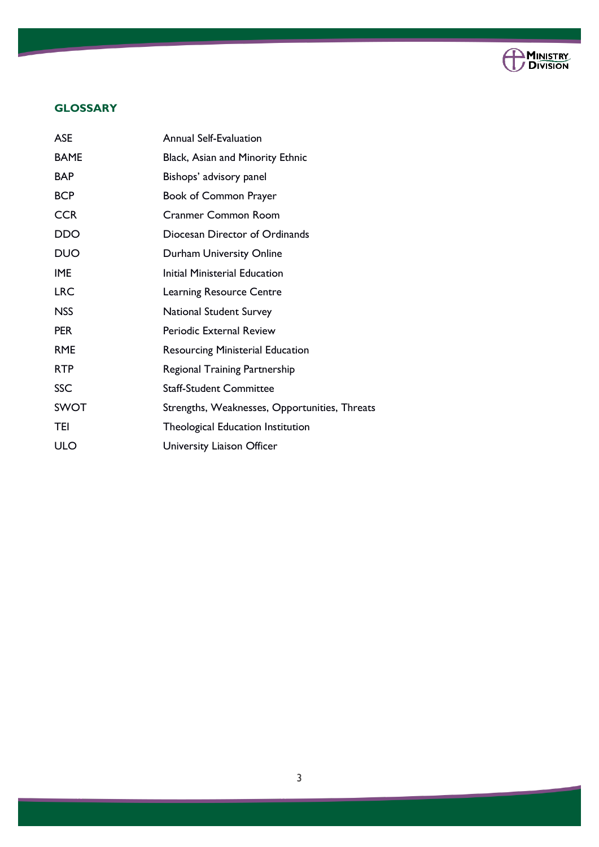

### **GLOSSARY**

| <b>ASE</b>  | <b>Annual Self-Evaluation</b>                 |
|-------------|-----------------------------------------------|
| <b>BAME</b> | Black, Asian and Minority Ethnic              |
| <b>BAP</b>  | Bishops' advisory panel                       |
| <b>BCP</b>  | Book of Common Prayer                         |
| <b>CCR</b>  | <b>Cranmer Common Room</b>                    |
| DDO         | Diocesan Director of Ordinands                |
| <b>DUO</b>  | Durham University Online                      |
| <b>IME</b>  | <b>Initial Ministerial Education</b>          |
| <b>LRC</b>  | <b>Learning Resource Centre</b>               |
| <b>NSS</b>  | <b>National Student Survey</b>                |
| <b>PER</b>  | Periodic External Review                      |
| <b>RME</b>  | <b>Resourcing Ministerial Education</b>       |
| <b>RTP</b>  | <b>Regional Training Partnership</b>          |
| SSC         | <b>Staff-Student Committee</b>                |
| <b>SWOT</b> | Strengths, Weaknesses, Opportunities, Threats |
| <b>TEI</b>  | Theological Education Institution             |
| ULO         | University Liaison Officer                    |
|             |                                               |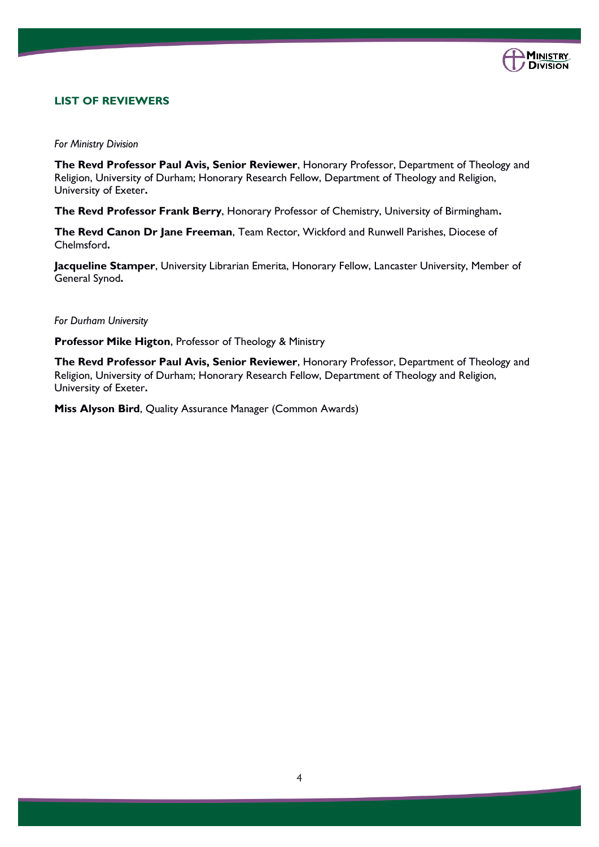

### **LIST OF REVIEWERS**

*For Ministry Division*

**The Revd Professor Paul Avis, Senior Reviewer**, Honorary Professor, Department of Theology and Religion, University of Durham; Honorary Research Fellow, Department of Theology and Religion, University of Exeter**.**

**The Revd Professor Frank Berry**, Honorary Professor of Chemistry, University of Birmingham**.**

**The Revd Canon Dr Jane Freeman**, Team Rector, Wickford and Runwell Parishes, Diocese of Chelmsford**.**

**Jacqueline Stamper**, University Librarian Emerita, Honorary Fellow, Lancaster University, Member of General Synod**.**

*For Durham University* 

**Professor Mike Higton**, Professor of Theology & Ministry

**The Revd Professor Paul Avis, Senior Reviewer**, Honorary Professor, Department of Theology and Religion, University of Durham; Honorary Research Fellow, Department of Theology and Religion, University of Exeter**.**

**Miss Alyson Bird**, Quality Assurance Manager (Common Awards)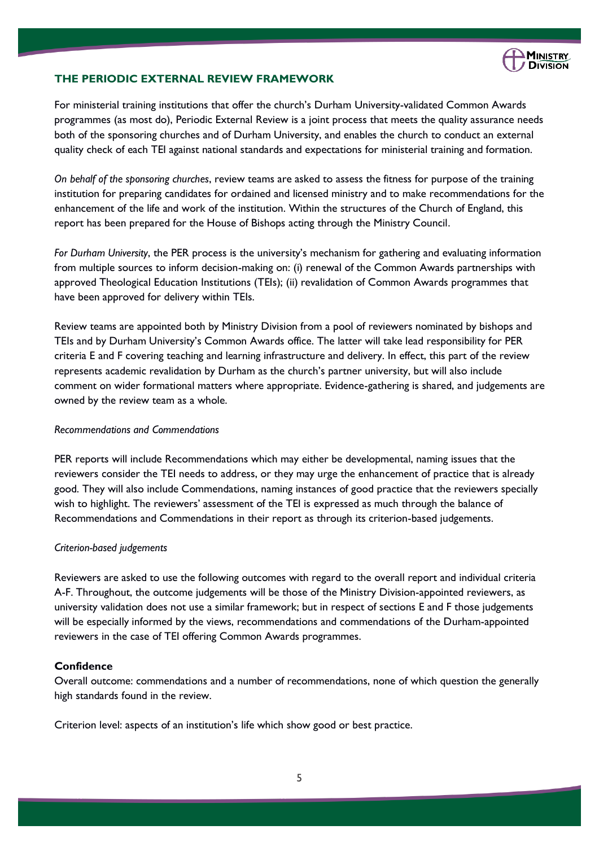

### **THE PERIODIC EXTERNAL REVIEW FRAMEWORK**

For ministerial training institutions that offer the church's Durham University-validated Common Awards programmes (as most do), Periodic External Review is a joint process that meets the quality assurance needs both of the sponsoring churches and of Durham University, and enables the church to conduct an external quality check of each TEI against national standards and expectations for ministerial training and formation.

*On behalf of the sponsoring churches*, review teams are asked to assess the fitness for purpose of the training institution for preparing candidates for ordained and licensed ministry and to make recommendations for the enhancement of the life and work of the institution. Within the structures of the Church of England, this report has been prepared for the House of Bishops acting through the Ministry Council.

*For Durham University*, the PER process is the university's mechanism for gathering and evaluating information from multiple sources to inform decision-making on: (i) renewal of the Common Awards partnerships with approved Theological Education Institutions (TEIs); (ii) revalidation of Common Awards programmes that have been approved for delivery within TEIs.

Review teams are appointed both by Ministry Division from a pool of reviewers nominated by bishops and TEIs and by Durham University's Common Awards office. The latter will take lead responsibility for PER criteria E and F covering teaching and learning infrastructure and delivery. In effect, this part of the review represents academic revalidation by Durham as the church's partner university, but will also include comment on wider formational matters where appropriate. Evidence-gathering is shared, and judgements are owned by the review team as a whole.

### *Recommendations and Commendations*

PER reports will include Recommendations which may either be developmental, naming issues that the reviewers consider the TEI needs to address, or they may urge the enhancement of practice that is already good. They will also include Commendations, naming instances of good practice that the reviewers specially wish to highlight. The reviewers' assessment of the TEI is expressed as much through the balance of Recommendations and Commendations in their report as through its criterion-based judgements.

#### *Criterion-based judgements*

Reviewers are asked to use the following outcomes with regard to the overall report and individual criteria A-F. Throughout, the outcome judgements will be those of the Ministry Division-appointed reviewers, as university validation does not use a similar framework; but in respect of sections E and F those judgements will be especially informed by the views, recommendations and commendations of the Durham-appointed reviewers in the case of TEI offering Common Awards programmes.

### **Confidence**

Overall outcome: commendations and a number of recommendations, none of which question the generally high standards found in the review.

Criterion level: aspects of an institution's life which show good or best practice.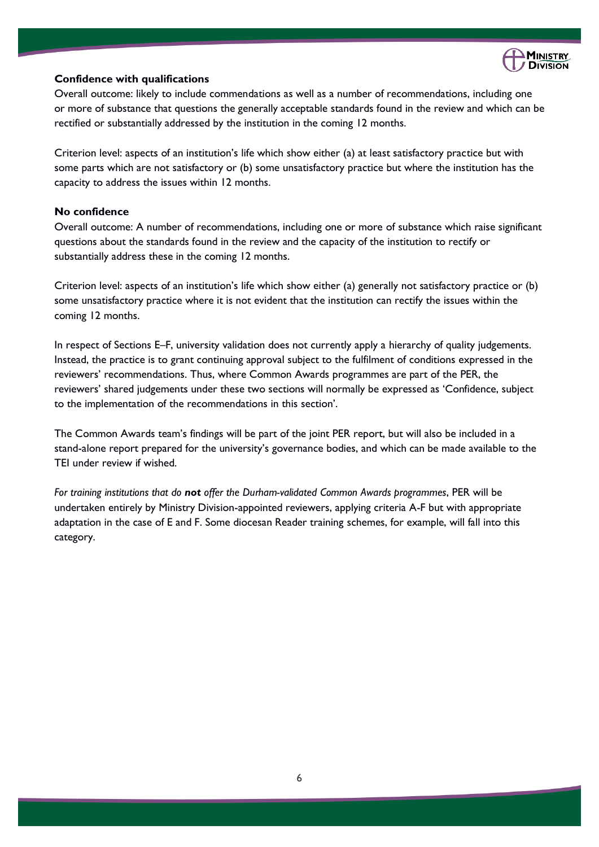

### **Confidence with qualifications**

Overall outcome: likely to include commendations as well as a number of recommendations, including one or more of substance that questions the generally acceptable standards found in the review and which can be rectified or substantially addressed by the institution in the coming 12 months.

Criterion level: aspects of an institution's life which show either (a) at least satisfactory practice but with some parts which are not satisfactory or (b) some unsatisfactory practice but where the institution has the capacity to address the issues within 12 months.

### **No confidence**

Overall outcome: A number of recommendations, including one or more of substance which raise significant questions about the standards found in the review and the capacity of the institution to rectify or substantially address these in the coming 12 months.

Criterion level: aspects of an institution's life which show either (a) generally not satisfactory practice or (b) some unsatisfactory practice where it is not evident that the institution can rectify the issues within the coming 12 months.

In respect of Sections E–F, university validation does not currently apply a hierarchy of quality judgements. Instead, the practice is to grant continuing approval subject to the fulfilment of conditions expressed in the reviewers' recommendations. Thus, where Common Awards programmes are part of the PER, the reviewers' shared judgements under these two sections will normally be expressed as 'Confidence, subject to the implementation of the recommendations in this section'.

The Common Awards team's findings will be part of the joint PER report, but will also be included in a stand-alone report prepared for the university's governance bodies, and which can be made available to the TEI under review if wished.

*For training institutions that do not offer the Durham-validated Common Awards programmes*, PER will be undertaken entirely by Ministry Division-appointed reviewers, applying criteria A-F but with appropriate adaptation in the case of E and F. Some diocesan Reader training schemes, for example, will fall into this category.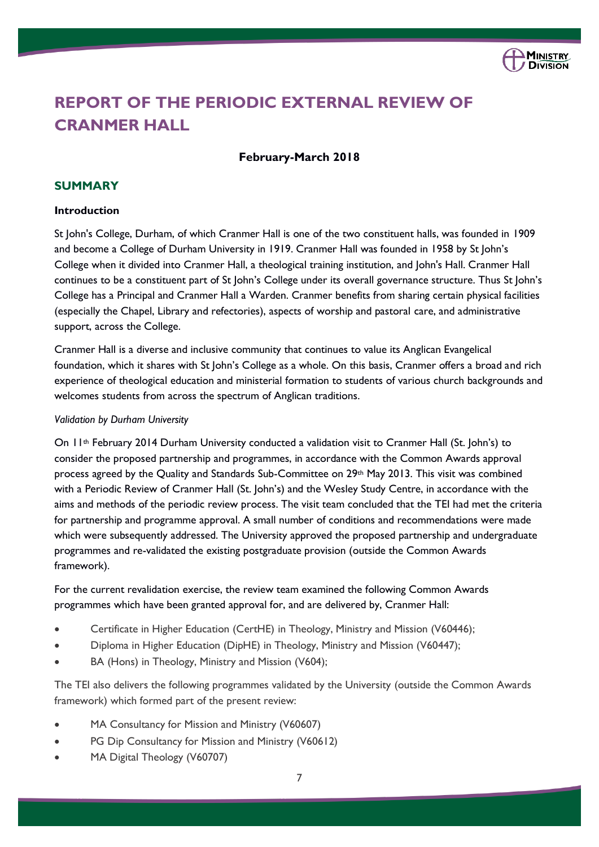

# **REPORT OF THE PERIODIC EXTERNAL REVIEW OF CRANMER HALL**

### **February-March 2018**

### **SUMMARY**

### **Introduction**

St John's College, Durham, of which Cranmer Hall is one of the two constituent halls, was founded in 1909 and become a College of Durham University in 1919. Cranmer Hall was founded in 1958 by St John's College when it divided into Cranmer Hall, a theological training institution, and John's Hall. Cranmer Hall continues to be a constituent part of St John's College under its overall governance structure. Thus St John's College has a Principal and Cranmer Hall a Warden. Cranmer benefits from sharing certain physical facilities (especially the Chapel, Library and refectories), aspects of worship and pastoral care, and administrative support, across the College.

Cranmer Hall is a diverse and inclusive community that continues to value its Anglican Evangelical foundation, which it shares with St John's College as a whole. On this basis, Cranmer offers a broad and rich experience of theological education and ministerial formation to students of various church backgrounds and welcomes students from across the spectrum of Anglican traditions.

#### *Validation by Durham University*

On 11th February 2014 Durham University conducted a validation visit to Cranmer Hall (St. John's) to consider the proposed partnership and programmes, in accordance with the Common Awards approval process agreed by the Quality and Standards Sub-Committee on 29th May 2013. This visit was combined with a Periodic Review of Cranmer Hall (St. John's) and the Wesley Study Centre, in accordance with the aims and methods of the periodic review process. The visit team concluded that the TEI had met the criteria for partnership and programme approval. A small number of conditions and recommendations were made which were subsequently addressed. The University approved the proposed partnership and undergraduate programmes and re-validated the existing postgraduate provision (outside the Common Awards framework).

For the current revalidation exercise, the review team examined the following Common Awards programmes which have been granted approval for, and are delivered by, Cranmer Hall:

- Certificate in Higher Education (CertHE) in Theology, Ministry and Mission (V60446);
- Diploma in Higher Education (DipHE) in Theology, Ministry and Mission (V60447);
- BA (Hons) in Theology, Ministry and Mission (V604);

The TEI also delivers the following programmes validated by the University (outside the Common Awards framework) which formed part of the present review:

- MA Consultancy for Mission and Ministry (V60607)
- PG Dip Consultancy for Mission and Ministry (V60612)
- MA Digital Theology (V60707)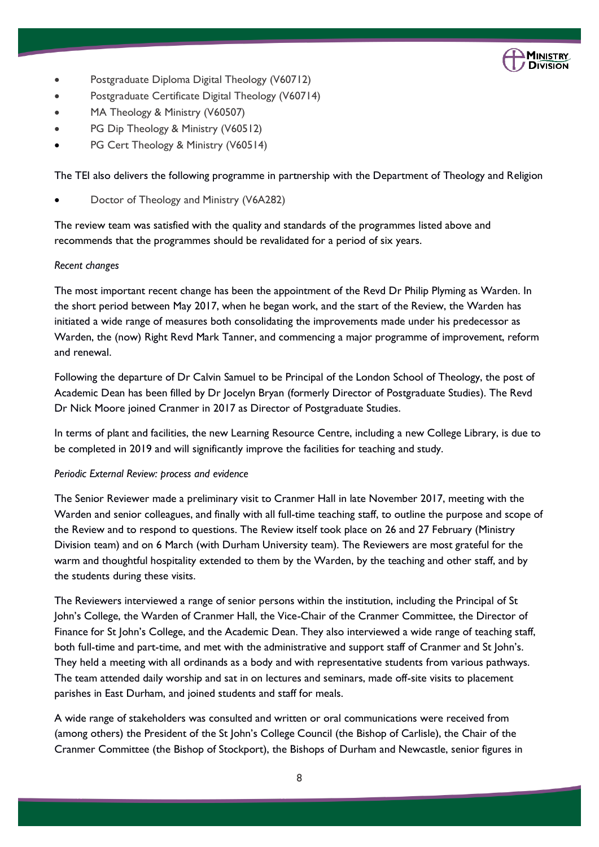

- Postgraduate Diploma Digital Theology (V60712)
- Postgraduate Certificate Digital Theology (V60714)
- MA Theology & Ministry (V60507)
- PG Dip Theology & Ministry (V60512)
- PG Cert Theology & Ministry (V60514)

The TEI also delivers the following programme in partnership with the Department of Theology and Religion

• Doctor of Theology and Ministry (V6A282)

The review team was satisfied with the quality and standards of the programmes listed above and recommends that the programmes should be revalidated for a period of six years.

### *Recent changes*

The most important recent change has been the appointment of the Revd Dr Philip Plyming as Warden. In the short period between May 2017, when he began work, and the start of the Review, the Warden has initiated a wide range of measures both consolidating the improvements made under his predecessor as Warden, the (now) Right Revd Mark Tanner, and commencing a major programme of improvement, reform and renewal.

Following the departure of Dr Calvin Samuel to be Principal of the London School of Theology, the post of Academic Dean has been filled by Dr Jocelyn Bryan (formerly Director of Postgraduate Studies). The Revd Dr Nick Moore joined Cranmer in 2017 as Director of Postgraduate Studies.

In terms of plant and facilities, the new Learning Resource Centre, including a new College Library, is due to be completed in 2019 and will significantly improve the facilities for teaching and study.

### *Periodic External Review: process and evidence*

The Senior Reviewer made a preliminary visit to Cranmer Hall in late November 2017, meeting with the Warden and senior colleagues, and finally with all full-time teaching staff, to outline the purpose and scope of the Review and to respond to questions. The Review itself took place on 26 and 27 February (Ministry Division team) and on 6 March (with Durham University team). The Reviewers are most grateful for the warm and thoughtful hospitality extended to them by the Warden, by the teaching and other staff, and by the students during these visits.

The Reviewers interviewed a range of senior persons within the institution, including the Principal of St John's College, the Warden of Cranmer Hall, the Vice-Chair of the Cranmer Committee, the Director of Finance for St John's College, and the Academic Dean. They also interviewed a wide range of teaching staff, both full-time and part-time, and met with the administrative and support staff of Cranmer and St John's. They held a meeting with all ordinands as a body and with representative students from various pathways. The team attended daily worship and sat in on lectures and seminars, made off-site visits to placement parishes in East Durham, and joined students and staff for meals.

A wide range of stakeholders was consulted and written or oral communications were received from (among others) the President of the St John's College Council (the Bishop of Carlisle), the Chair of the Cranmer Committee (the Bishop of Stockport), the Bishops of Durham and Newcastle, senior figures in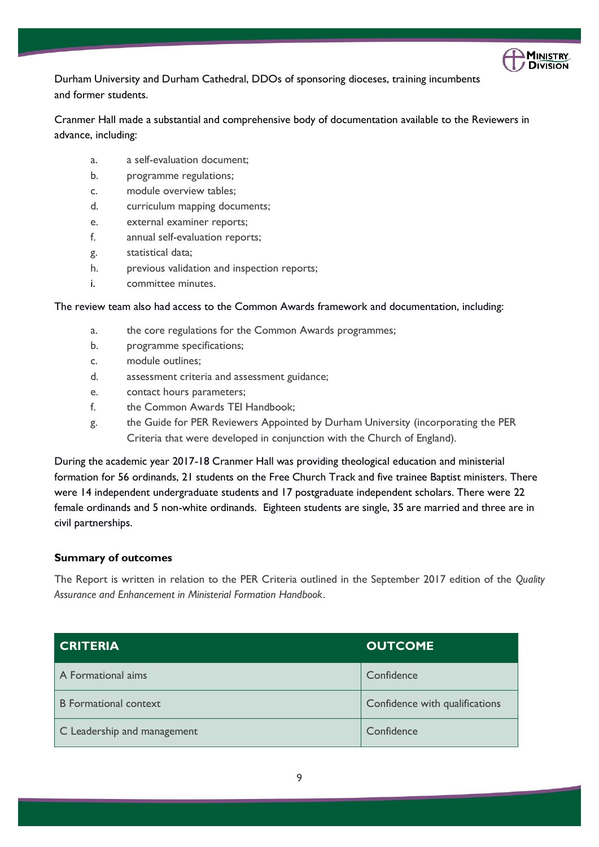

Durham University and Durham Cathedral, DDOs of sponsoring dioceses, training incumbents and former students.

Cranmer Hall made a substantial and comprehensive body of documentation available to the Reviewers in advance, including:

- a. a self-evaluation document;
- b. programme regulations;
- c. module overview tables;
- d. curriculum mapping documents;
- e. external examiner reports;
- f. annual self-evaluation reports;
- g. statistical data;
- h. previous validation and inspection reports;
- i. committee minutes.

### The review team also had access to the Common Awards framework and documentation, including:

- a. the core regulations for the Common Awards programmes;
- b. programme specifications;
- c. module outlines;
- d. assessment criteria and assessment guidance;
- e. contact hours parameters;
- f. the Common Awards TEI Handbook;
- g. the Guide for PER Reviewers Appointed by Durham University (incorporating the PER Criteria that were developed in conjunction with the Church of England).

During the academic year 2017-18 Cranmer Hall was providing theological education and ministerial formation for 56 ordinands, 21 students on the Free Church Track and five trainee Baptist ministers. There were 14 independent undergraduate students and 17 postgraduate independent scholars. There were 22 female ordinands and 5 non-white ordinands. Eighteen students are single, 35 are married and three are in civil partnerships.

### **Summary of outcomes**

The Report is written in relation to the PER Criteria outlined in the September 2017 edition of the *Quality Assurance and Enhancement in Ministerial Formation Handbook*.

| <b>CRITERIA</b>              | <b>OUTCOME</b>                 |
|------------------------------|--------------------------------|
| A Formational aims           | Confidence                     |
| <b>B</b> Formational context | Confidence with qualifications |
| C Leadership and management  | Confidence                     |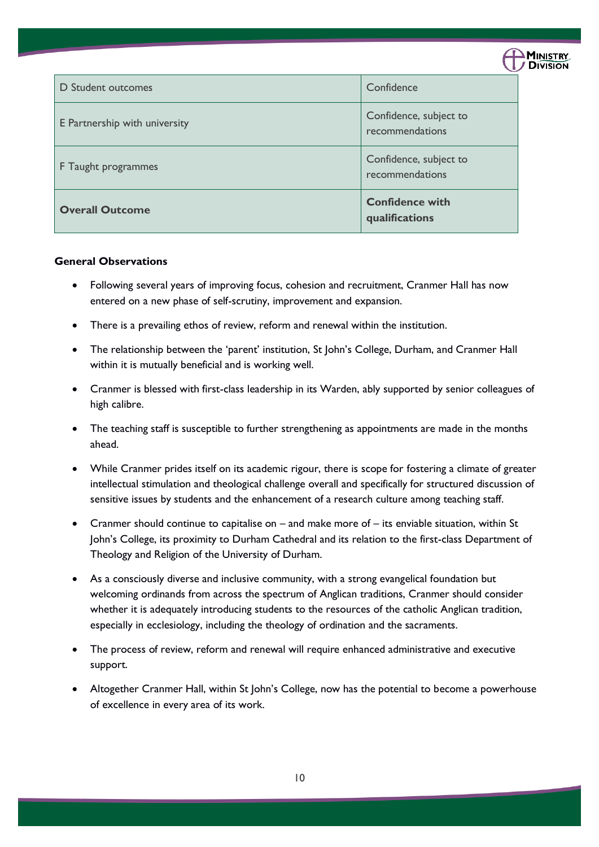|                               |                                           | <b>DIVISION</b> |
|-------------------------------|-------------------------------------------|-----------------|
| <b>D</b> Student outcomes     | Confidence                                |                 |
| E Partnership with university | Confidence, subject to<br>recommendations |                 |
| F Taught programmes           | Confidence, subject to<br>recommendations |                 |
| <b>Overall Outcome</b>        | <b>Confidence with</b><br>qualifications  |                 |

**MINISTRY** 

### **General Observations**

- Following several years of improving focus, cohesion and recruitment, Cranmer Hall has now entered on a new phase of self-scrutiny, improvement and expansion.
- There is a prevailing ethos of review, reform and renewal within the institution.
- The relationship between the 'parent' institution, St John's College, Durham, and Cranmer Hall within it is mutually beneficial and is working well.
- Cranmer is blessed with first-class leadership in its Warden, ably supported by senior colleagues of high calibre.
- The teaching staff is susceptible to further strengthening as appointments are made in the months ahead.
- While Cranmer prides itself on its academic rigour, there is scope for fostering a climate of greater intellectual stimulation and theological challenge overall and specifically for structured discussion of sensitive issues by students and the enhancement of a research culture among teaching staff.
- Cranmer should continue to capitalise on and make more of its enviable situation, within St John's College, its proximity to Durham Cathedral and its relation to the first-class Department of Theology and Religion of the University of Durham.
- As a consciously diverse and inclusive community, with a strong evangelical foundation but welcoming ordinands from across the spectrum of Anglican traditions, Cranmer should consider whether it is adequately introducing students to the resources of the catholic Anglican tradition, especially in ecclesiology, including the theology of ordination and the sacraments.
- The process of review, reform and renewal will require enhanced administrative and executive support.
- Altogether Cranmer Hall, within St John's College, now has the potential to become a powerhouse of excellence in every area of its work.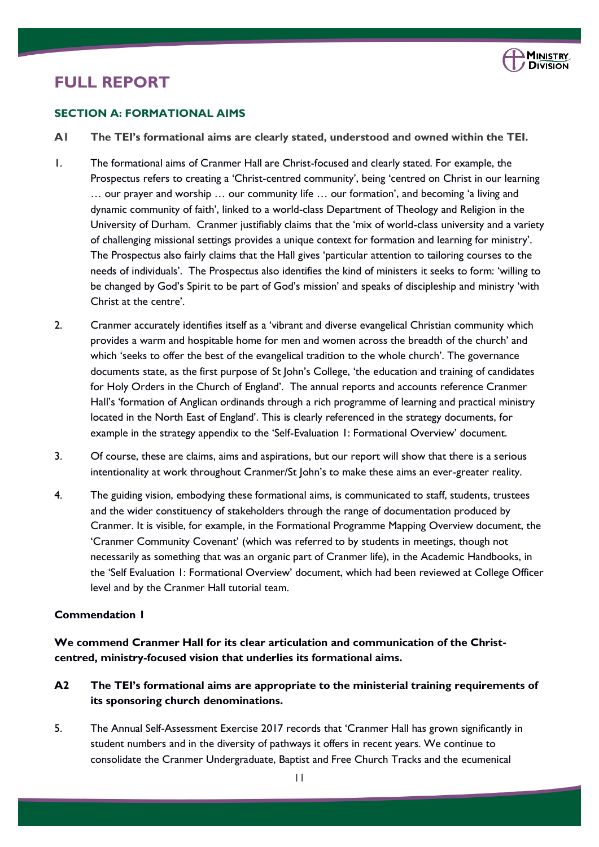

## **FULL REPORT**

### **SECTION A: FORMATIONAL AIMS**

- **A1 The TEI's formational aims are clearly stated, understood and owned within the TEI.**
- 1. The formational aims of Cranmer Hall are Christ-focused and clearly stated. For example, the Prospectus refers to creating a 'Christ-centred community', being 'centred on Christ in our learning … our prayer and worship … our community life … our formation', and becoming 'a living and dynamic community of faith', linked to a world-class Department of Theology and Religion in the University of Durham. Cranmer justifiably claims that the 'mix of world-class university and a variety of challenging missional settings provides a unique context for formation and learning for ministry'. The Prospectus also fairly claims that the Hall gives 'particular attention to tailoring courses to the needs of individuals'. The Prospectus also identifies the kind of ministers it seeks to form: 'willing to be changed by God's Spirit to be part of God's mission' and speaks of discipleship and ministry 'with Christ at the centre'.
- 2. Cranmer accurately identifies itself as a 'vibrant and diverse evangelical Christian community which provides a warm and hospitable home for men and women across the breadth of the church' and which 'seeks to offer the best of the evangelical tradition to the whole church'. The governance documents state, as the first purpose of St John's College, 'the education and training of candidates for Holy Orders in the Church of England'. The annual reports and accounts reference Cranmer Hall's 'formation of Anglican ordinands through a rich programme of learning and practical ministry located in the North East of England'. This is clearly referenced in the strategy documents, for example in the strategy appendix to the 'Self-Evaluation 1: Formational Overview' document.
- 3. Of course, these are claims, aims and aspirations, but our report will show that there is a serious intentionality at work throughout Cranmer/St John's to make these aims an ever-greater reality.
- 4. The guiding vision, embodying these formational aims, is communicated to staff, students, trustees and the wider constituency of stakeholders through the range of documentation produced by Cranmer. It is visible, for example, in the Formational Programme Mapping Overview document, the 'Cranmer Community Covenant' (which was referred to by students in meetings, though not necessarily as something that was an organic part of Cranmer life), in the Academic Handbooks, in the 'Self Evaluation 1: Formational Overview' document, which had been reviewed at College Officer level and by the Cranmer Hall tutorial team.

### **Commendation 1**

**We commend Cranmer Hall for its clear articulation and communication of the Christcentred, ministry-focused vision that underlies its formational aims.**

- **A2 The TEI's formational aims are appropriate to the ministerial training requirements of its sponsoring church denominations.**
- 5. The Annual Self-Assessment Exercise 2017 records that 'Cranmer Hall has grown significantly in student numbers and in the diversity of pathways it offers in recent years. We continue to consolidate the Cranmer Undergraduate, Baptist and Free Church Tracks and the ecumenical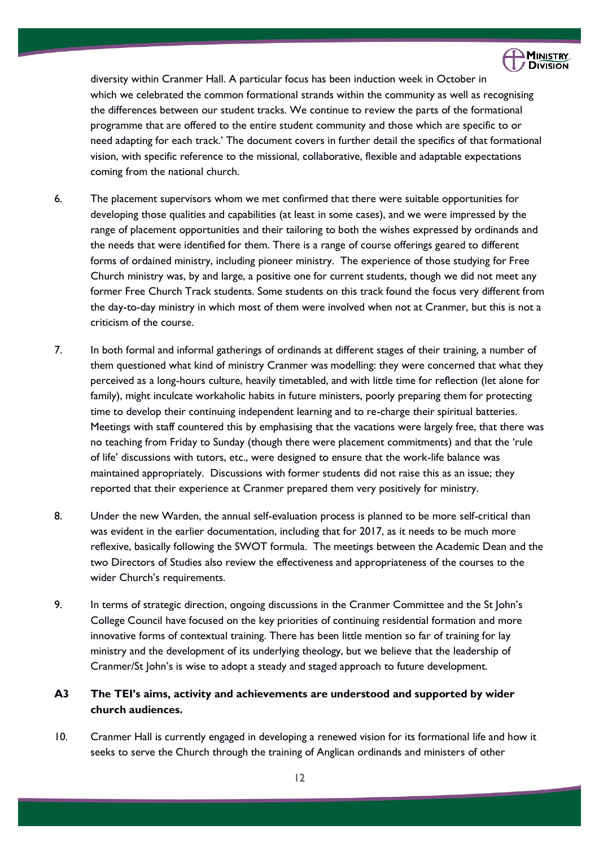

diversity within Cranmer Hall. A particular focus has been induction week in October in which we celebrated the common formational strands within the community as well as recognising the differences between our student tracks. We continue to review the parts of the formational programme that are offered to the entire student community and those which are specific to or need adapting for each track.' The document covers in further detail the specifics of that formational vision, with specific reference to the missional, collaborative, flexible and adaptable expectations coming from the national church.

- 6. The placement supervisors whom we met confirmed that there were suitable opportunities for developing those qualities and capabilities (at least in some cases), and we were impressed by the range of placement opportunities and their tailoring to both the wishes expressed by ordinands and the needs that were identified for them. There is a range of course offerings geared to different forms of ordained ministry, including pioneer ministry. The experience of those studying for Free Church ministry was, by and large, a positive one for current students, though we did not meet any former Free Church Track students. Some students on this track found the focus very different from the day-to-day ministry in which most of them were involved when not at Cranmer, but this is not a criticism of the course.
- 7. In both formal and informal gatherings of ordinands at different stages of their training, a number of them questioned what kind of ministry Cranmer was modelling: they were concerned that what they perceived as a long-hours culture, heavily timetabled, and with little time for reflection (let alone for family), might inculcate workaholic habits in future ministers, poorly preparing them for protecting time to develop their continuing independent learning and to re-charge their spiritual batteries. Meetings with staff countered this by emphasising that the vacations were largely free, that there was no teaching from Friday to Sunday (though there were placement commitments) and that the 'rule of life' discussions with tutors, etc., were designed to ensure that the work-life balance was maintained appropriately. Discussions with former students did not raise this as an issue; they reported that their experience at Cranmer prepared them very positively for ministry.
- 8. Under the new Warden, the annual self-evaluation process is planned to be more self-critical than was evident in the earlier documentation, including that for 2017, as it needs to be much more reflexive, basically following the SWOT formula. The meetings between the Academic Dean and the two Directors of Studies also review the effectiveness and appropriateness of the courses to the wider Church's requirements.
- 9. In terms of strategic direction, ongoing discussions in the Cranmer Committee and the St John's College Council have focused on the key priorities of continuing residential formation and more innovative forms of contextual training. There has been little mention so far of training for lay ministry and the development of its underlying theology, but we believe that the leadership of Cranmer/St John's is wise to adopt a steady and staged approach to future development.

### **A3 The TEI's aims, activity and achievements are understood and supported by wider church audiences.**

10. Cranmer Hall is currently engaged in developing a renewed vision for its formational life and how it seeks to serve the Church through the training of Anglican ordinands and ministers of other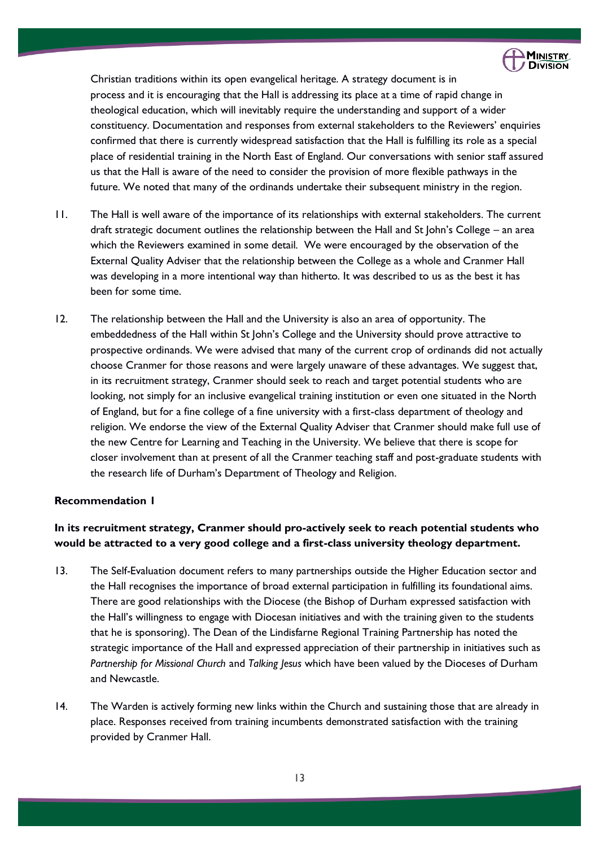

Christian traditions within its open evangelical heritage. A strategy document is in process and it is encouraging that the Hall is addressing its place at a time of rapid change in theological education, which will inevitably require the understanding and support of a wider constituency. Documentation and responses from external stakeholders to the Reviewers' enquiries confirmed that there is currently widespread satisfaction that the Hall is fulfilling its role as a special place of residential training in the North East of England. Our conversations with senior staff assured us that the Hall is aware of the need to consider the provision of more flexible pathways in the future. We noted that many of the ordinands undertake their subsequent ministry in the region.

- 11. The Hall is well aware of the importance of its relationships with external stakeholders. The current draft strategic document outlines the relationship between the Hall and St John's College – an area which the Reviewers examined in some detail*.* We were encouraged by the observation of the External Quality Adviser that the relationship between the College as a whole and Cranmer Hall was developing in a more intentional way than hitherto. It was described to us as the best it has been for some time.
- 12. The relationship between the Hall and the University is also an area of opportunity. The embeddedness of the Hall within St John's College and the University should prove attractive to prospective ordinands. We were advised that many of the current crop of ordinands did not actually choose Cranmer for those reasons and were largely unaware of these advantages. We suggest that, in its recruitment strategy, Cranmer should seek to reach and target potential students who are looking, not simply for an inclusive evangelical training institution or even one situated in the North of England, but for a fine college of a fine university with a first-class department of theology and religion. We endorse the view of the External Quality Adviser that Cranmer should make full use of the new Centre for Learning and Teaching in the University. We believe that there is scope for closer involvement than at present of all the Cranmer teaching staff and post-graduate students with the research life of Durham's Department of Theology and Religion.

### **Recommendation 1**

### **In its recruitment strategy, Cranmer should pro-actively seek to reach potential students who would be attracted to a very good college and a first-class university theology department.**

- 13. The Self-Evaluation document refers to many partnerships outside the Higher Education sector and the Hall recognises the importance of broad external participation in fulfilling its foundational aims. There are good relationships with the Diocese (the Bishop of Durham expressed satisfaction with the Hall's willingness to engage with Diocesan initiatives and with the training given to the students that he is sponsoring). The Dean of the Lindisfarne Regional Training Partnership has noted the strategic importance of the Hall and expressed appreciation of their partnership in initiatives such as *Partnership for Missional Church* and *Talking Jesus* which have been valued by the Dioceses of Durham and Newcastle.
- 14. The Warden is actively forming new links within the Church and sustaining those that are already in place. Responses received from training incumbents demonstrated satisfaction with the training provided by Cranmer Hall.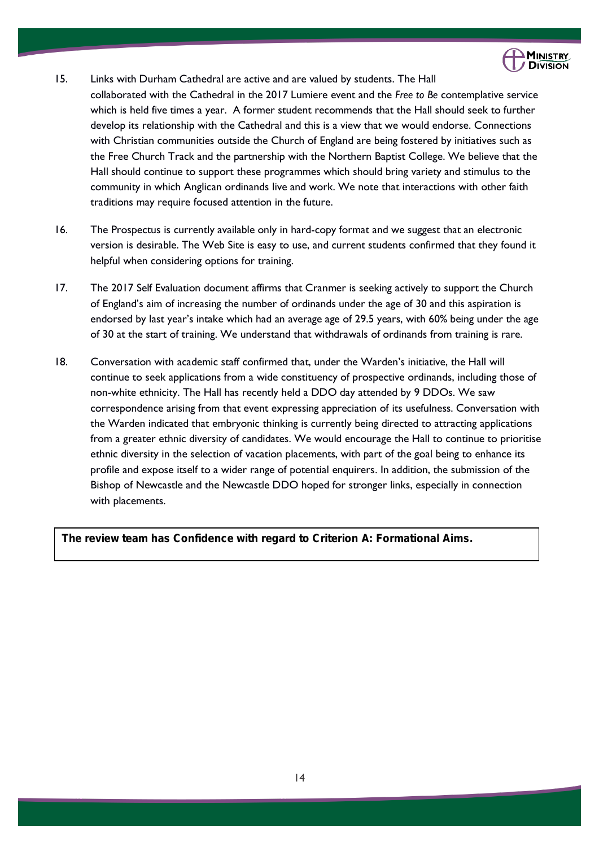

15. Links with Durham Cathedral are active and are valued by students. The Hall

collaborated with the Cathedral in the 2017 Lumiere event and the *Free to Be* contemplative service which is held five times a year. A former student recommends that the Hall should seek to further develop its relationship with the Cathedral and this is a view that we would endorse. Connections with Christian communities outside the Church of England are being fostered by initiatives such as the Free Church Track and the partnership with the Northern Baptist College. We believe that the Hall should continue to support these programmes which should bring variety and stimulus to the community in which Anglican ordinands live and work. We note that interactions with other faith traditions may require focused attention in the future.

- 16. The Prospectus is currently available only in hard-copy format and we suggest that an electronic version is desirable. The Web Site is easy to use, and current students confirmed that they found it helpful when considering options for training.
- 17. The 2017 Self Evaluation document affirms that Cranmer is seeking actively to support the Church of England's aim of increasing the number of ordinands under the age of 30 and this aspiration is endorsed by last year's intake which had an average age of 29.5 years, with 60% being under the age of 30 at the start of training. We understand that withdrawals of ordinands from training is rare.
- 18. Conversation with academic staff confirmed that, under the Warden's initiative, the Hall will continue to seek applications from a wide constituency of prospective ordinands, including those of non-white ethnicity. The Hall has recently held a DDO day attended by 9 DDOs. We saw correspondence arising from that event expressing appreciation of its usefulness. Conversation with the Warden indicated that embryonic thinking is currently being directed to attracting applications from a greater ethnic diversity of candidates. We would encourage the Hall to continue to prioritise ethnic diversity in the selection of vacation placements, with part of the goal being to enhance its profile and expose itself to a wider range of potential enquirers. In addition, the submission of the Bishop of Newcastle and the Newcastle DDO hoped for stronger links, especially in connection with placements.

**The review team has Confidence with regard to Criterion A: Formational Aims.**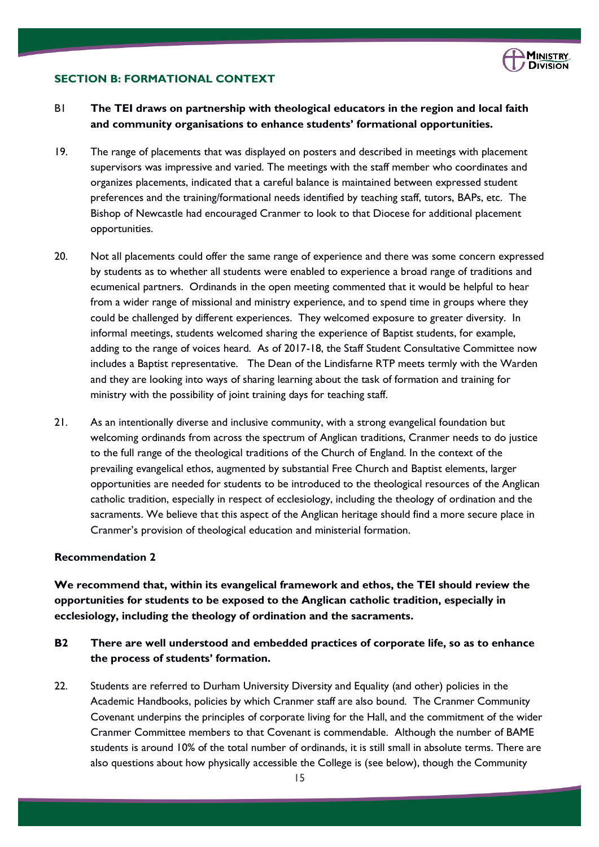

### **SECTION B: FORMATIONAL CONTEXT**

- B1 **The TEI draws on partnership with theological educators in the region and local faith and community organisations to enhance students' formational opportunities.**
- 19. The range of placements that was displayed on posters and described in meetings with placement supervisors was impressive and varied. The meetings with the staff member who coordinates and organizes placements, indicated that a careful balance is maintained between expressed student preferences and the training/formational needs identified by teaching staff, tutors, BAPs, etc. The Bishop of Newcastle had encouraged Cranmer to look to that Diocese for additional placement opportunities.
- 20. Not all placements could offer the same range of experience and there was some concern expressed by students as to whether all students were enabled to experience a broad range of traditions and ecumenical partners. Ordinands in the open meeting commented that it would be helpful to hear from a wider range of missional and ministry experience, and to spend time in groups where they could be challenged by different experiences. They welcomed exposure to greater diversity. In informal meetings, students welcomed sharing the experience of Baptist students, for example, adding to the range of voices heard. As of 2017-18, the Staff Student Consultative Committee now includes a Baptist representative. The Dean of the Lindisfarne RTP meets termly with the Warden and they are looking into ways of sharing learning about the task of formation and training for ministry with the possibility of joint training days for teaching staff.
- 21. As an intentionally diverse and inclusive community, with a strong evangelical foundation but welcoming ordinands from across the spectrum of Anglican traditions, Cranmer needs to do justice to the full range of the theological traditions of the Church of England. In the context of the prevailing evangelical ethos, augmented by substantial Free Church and Baptist elements, larger opportunities are needed for students to be introduced to the theological resources of the Anglican catholic tradition, especially in respect of ecclesiology, including the theology of ordination and the sacraments. We believe that this aspect of the Anglican heritage should find a more secure place in Cranmer's provision of theological education and ministerial formation.

### **Recommendation 2**

**We recommend that, within its evangelical framework and ethos, the TEI should review the opportunities for students to be exposed to the Anglican catholic tradition, especially in ecclesiology, including the theology of ordination and the sacraments.**

### **B2 There are well understood and embedded practices of corporate life, so as to enhance the process of students' formation.**

22. Students are referred to Durham University Diversity and Equality (and other) policies in the Academic Handbooks, policies by which Cranmer staff are also bound. The Cranmer Community Covenant underpins the principles of corporate living for the Hall, and the commitment of the wider Cranmer Committee members to that Covenant is commendable. Although the number of BAME students is around 10% of the total number of ordinands, it is still small in absolute terms. There are also questions about how physically accessible the College is (see below), though the Community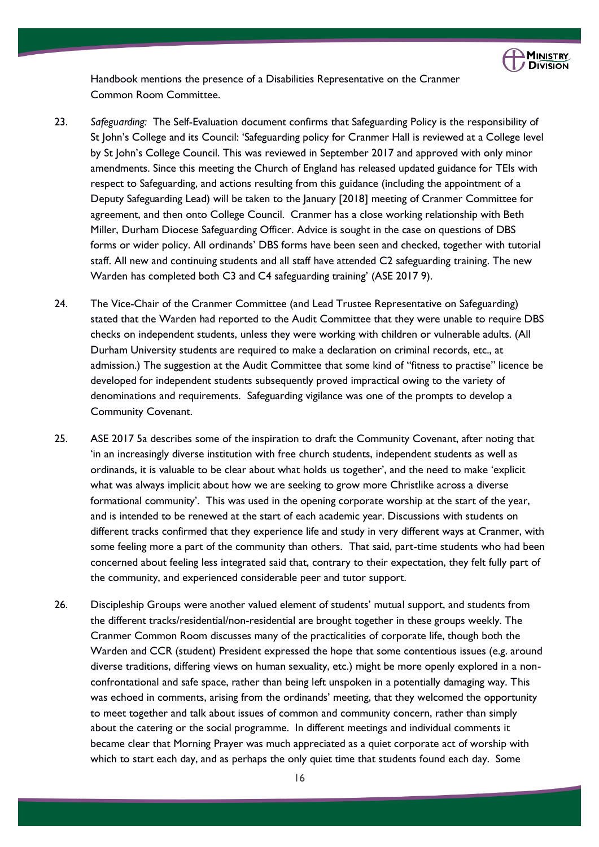

Handbook mentions the presence of a Disabilities Representative on the Cranmer Common Room Committee.

- 23. *Safeguarding:* The Self-Evaluation document confirms that Safeguarding Policy is the responsibility of St John's College and its Council: 'Safeguarding policy for Cranmer Hall is reviewed at a College level by St John's College Council. This was reviewed in September 2017 and approved with only minor amendments. Since this meeting the Church of England has released updated guidance for TEIs with respect to Safeguarding, and actions resulting from this guidance (including the appointment of a Deputy Safeguarding Lead) will be taken to the January [2018] meeting of Cranmer Committee for agreement, and then onto College Council. Cranmer has a close working relationship with Beth Miller, Durham Diocese Safeguarding Officer. Advice is sought in the case on questions of DBS forms or wider policy. All ordinands' DBS forms have been seen and checked, together with tutorial staff. All new and continuing students and all staff have attended C2 safeguarding training. The new Warden has completed both C3 and C4 safeguarding training' (ASE 2017 9).
- 24. The Vice-Chair of the Cranmer Committee (and Lead Trustee Representative on Safeguarding) stated that the Warden had reported to the Audit Committee that they were unable to require DBS checks on independent students, unless they were working with children or vulnerable adults. (All Durham University students are required to make a declaration on criminal records, etc., at admission.) The suggestion at the Audit Committee that some kind of "fitness to practise" licence be developed for independent students subsequently proved impractical owing to the variety of denominations and requirements. Safeguarding vigilance was one of the prompts to develop a Community Covenant.
- 25. ASE 2017 5a describes some of the inspiration to draft the Community Covenant, after noting that 'in an increasingly diverse institution with free church students, independent students as well as ordinands, it is valuable to be clear about what holds us together', and the need to make 'explicit what was always implicit about how we are seeking to grow more Christlike across a diverse formational community'. This was used in the opening corporate worship at the start of the year, and is intended to be renewed at the start of each academic year. Discussions with students on different tracks confirmed that they experience life and study in very different ways at Cranmer, with some feeling more a part of the community than others. That said, part-time students who had been concerned about feeling less integrated said that, contrary to their expectation, they felt fully part of the community, and experienced considerable peer and tutor support.
- 26. Discipleship Groups were another valued element of students' mutual support, and students from the different tracks/residential/non-residential are brought together in these groups weekly. The Cranmer Common Room discusses many of the practicalities of corporate life, though both the Warden and CCR (student) President expressed the hope that some contentious issues (e.g. around diverse traditions, differing views on human sexuality, etc.) might be more openly explored in a nonconfrontational and safe space, rather than being left unspoken in a potentially damaging way. This was echoed in comments, arising from the ordinands' meeting, that they welcomed the opportunity to meet together and talk about issues of common and community concern, rather than simply about the catering or the social programme. In different meetings and individual comments it became clear that Morning Prayer was much appreciated as a quiet corporate act of worship with which to start each day, and as perhaps the only quiet time that students found each day. Some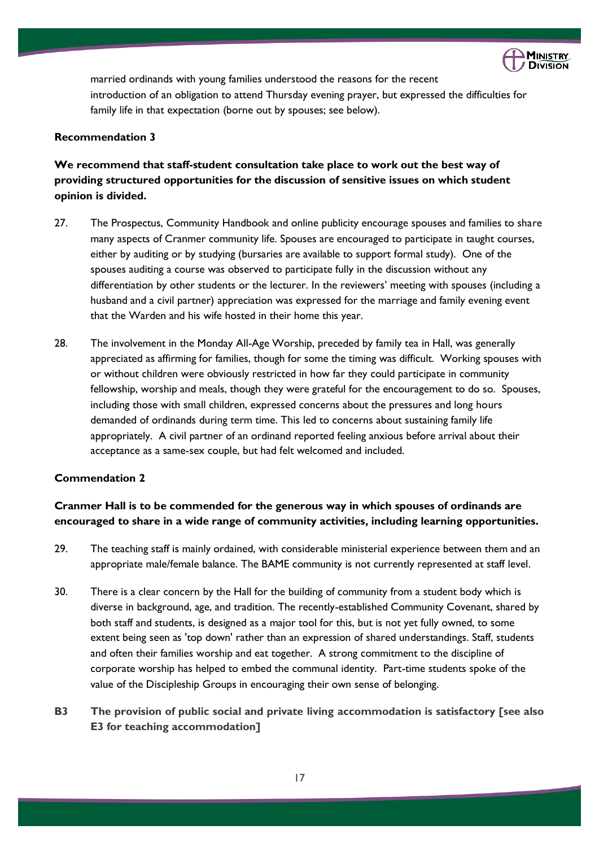

married ordinands with young families understood the reasons for the recent introduction of an obligation to attend Thursday evening prayer, but expressed the difficulties for family life in that expectation (borne out by spouses; see below).

### **Recommendation 3**

### **We recommend that staff-student consultation take place to work out the best way of providing structured opportunities for the discussion of sensitive issues on which student opinion is divided.**

- 27. The Prospectus, Community Handbook and online publicity encourage spouses and families to share many aspects of Cranmer community life. Spouses are encouraged to participate in taught courses, either by auditing or by studying (bursaries are available to support formal study). One of the spouses auditing a course was observed to participate fully in the discussion without any differentiation by other students or the lecturer. In the reviewers' meeting with spouses (including a husband and a civil partner) appreciation was expressed for the marriage and family evening event that the Warden and his wife hosted in their home this year.
- 28. The involvement in the Monday All-Age Worship, preceded by family tea in Hall, was generally appreciated as affirming for families, though for some the timing was difficult. Working spouses with or without children were obviously restricted in how far they could participate in community fellowship, worship and meals, though they were grateful for the encouragement to do so. Spouses, including those with small children, expressed concerns about the pressures and long hours demanded of ordinands during term time. This led to concerns about sustaining family life appropriately. A civil partner of an ordinand reported feeling anxious before arrival about their acceptance as a same-sex couple, but had felt welcomed and included.

### **Commendation 2**

### **Cranmer Hall is to be commended for the generous way in which spouses of ordinands are encouraged to share in a wide range of community activities, including learning opportunities.**

- 29. The teaching staff is mainly ordained, with considerable ministerial experience between them and an appropriate male/female balance. The BAME community is not currently represented at staff level.
- 30. There is a clear concern by the Hall for the building of community from a student body which is diverse in background, age, and tradition. The recently-established Community Covenant, shared by both staff and students, is designed as a major tool for this, but is not yet fully owned, to some extent being seen as 'top down' rather than an expression of shared understandings. Staff, students and often their families worship and eat together. A strong commitment to the discipline of corporate worship has helped to embed the communal identity. Part-time students spoke of the value of the Discipleship Groups in encouraging their own sense of belonging.

### **B3 The provision of public social and private living accommodation is satisfactory [see also E3 for teaching accommodation]**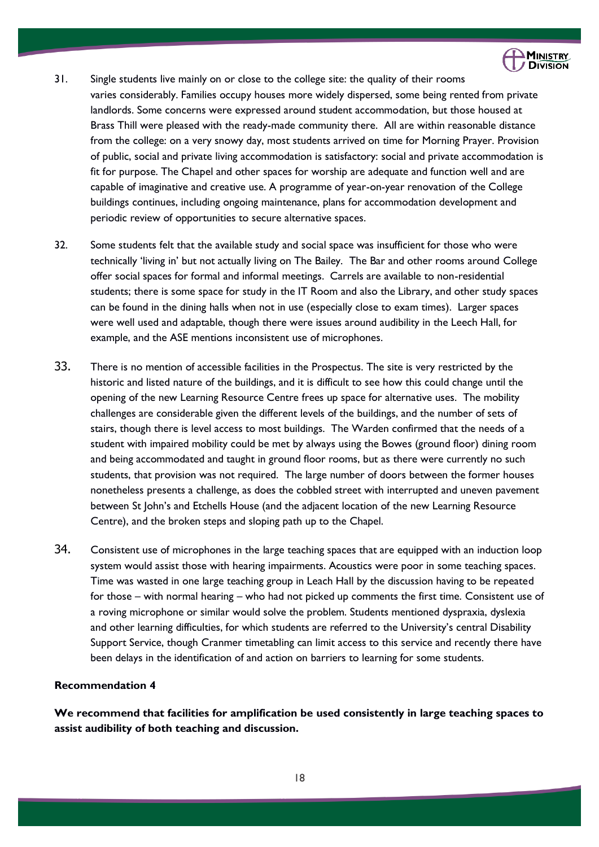

- 31. Single students live mainly on or close to the college site: the quality of their rooms varies considerably. Families occupy houses more widely dispersed, some being rented from private landlords. Some concerns were expressed around student accommodation, but those housed at Brass Thill were pleased with the ready-made community there. All are within reasonable distance from the college: on a very snowy day, most students arrived on time for Morning Prayer. Provision of public, social and private living accommodation is satisfactory: social and private accommodation is fit for purpose. The Chapel and other spaces for worship are adequate and function well and are capable of imaginative and creative use. A programme of year-on-year renovation of the College buildings continues, including ongoing maintenance, plans for accommodation development and periodic review of opportunities to secure alternative spaces.
- 32. Some students felt that the available study and social space was insufficient for those who were technically 'living in' but not actually living on The Bailey. The Bar and other rooms around College offer social spaces for formal and informal meetings. Carrels are available to non-residential students; there is some space for study in the IT Room and also the Library, and other study spaces can be found in the dining halls when not in use (especially close to exam times). Larger spaces were well used and adaptable, though there were issues around audibility in the Leech Hall, for example, and the ASE mentions inconsistent use of microphones.
- 33. There is no mention of accessible facilities in the Prospectus. The site is very restricted by the historic and listed nature of the buildings, and it is difficult to see how this could change until the opening of the new Learning Resource Centre frees up space for alternative uses. The mobility challenges are considerable given the different levels of the buildings, and the number of sets of stairs, though there is level access to most buildings. The Warden confirmed that the needs of a student with impaired mobility could be met by always using the Bowes (ground floor) dining room and being accommodated and taught in ground floor rooms, but as there were currently no such students, that provision was not required. The large number of doors between the former houses nonetheless presents a challenge, as does the cobbled street with interrupted and uneven pavement between St John's and Etchells House (and the adjacent location of the new Learning Resource Centre), and the broken steps and sloping path up to the Chapel.
- 34. Consistent use of microphones in the large teaching spaces that are equipped with an induction loop system would assist those with hearing impairments. Acoustics were poor in some teaching spaces. Time was wasted in one large teaching group in Leach Hall by the discussion having to be repeated for those – with normal hearing – who had not picked up comments the first time. Consistent use of a roving microphone or similar would solve the problem. Students mentioned dyspraxia, dyslexia and other learning difficulties, for which students are referred to the University's central Disability Support Service, though Cranmer timetabling can limit access to this service and recently there have been delays in the identification of and action on barriers to learning for some students.

### **Recommendation 4**

**We recommend that facilities for amplification be used consistently in large teaching spaces to assist audibility of both teaching and discussion.**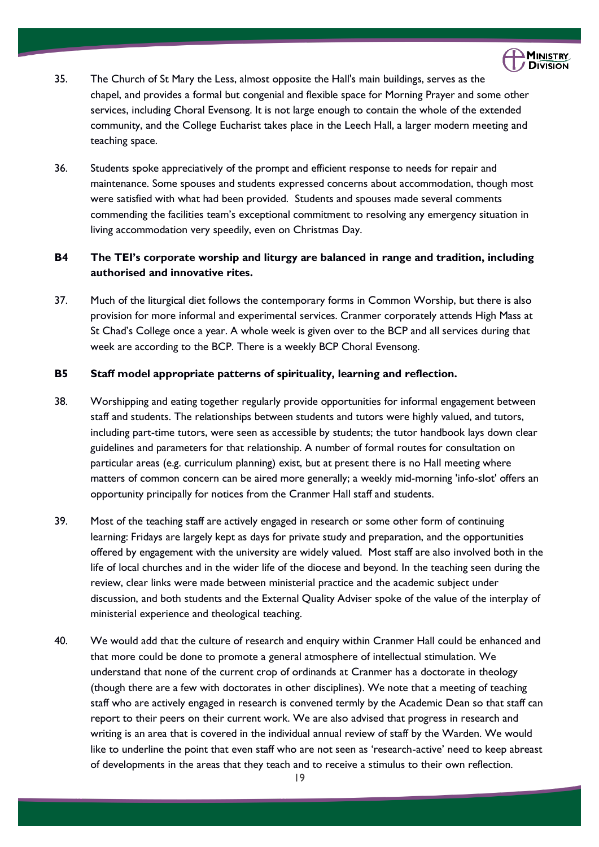

- 35. The Church of St Mary the Less, almost opposite the Hall's main buildings, serves as the chapel, and provides a formal but congenial and flexible space for Morning Prayer and some other services, including Choral Evensong. It is not large enough to contain the whole of the extended community, and the College Eucharist takes place in the Leech Hall, a larger modern meeting and teaching space.
- 36. Students spoke appreciatively of the prompt and efficient response to needs for repair and maintenance. Some spouses and students expressed concerns about accommodation, though most were satisfied with what had been provided. Students and spouses made several comments commending the facilities team's exceptional commitment to resolving any emergency situation in living accommodation very speedily, even on Christmas Day.

### **B4 The TEI's corporate worship and liturgy are balanced in range and tradition, including authorised and innovative rites.**

37. Much of the liturgical diet follows the contemporary forms in Common Worship, but there is also provision for more informal and experimental services. Cranmer corporately attends High Mass at St Chad's College once a year. A whole week is given over to the BCP and all services during that week are according to the BCP. There is a weekly BCP Choral Evensong.

### **B5 Staff model appropriate patterns of spirituality, learning and reflection.**

- 38. Worshipping and eating together regularly provide opportunities for informal engagement between staff and students. The relationships between students and tutors were highly valued, and tutors, including part-time tutors, were seen as accessible by students; the tutor handbook lays down clear guidelines and parameters for that relationship. A number of formal routes for consultation on particular areas (e.g. curriculum planning) exist, but at present there is no Hall meeting where matters of common concern can be aired more generally; a weekly mid-morning 'info-slot' offers an opportunity principally for notices from the Cranmer Hall staff and students.
- 39. Most of the teaching staff are actively engaged in research or some other form of continuing learning: Fridays are largely kept as days for private study and preparation, and the opportunities offered by engagement with the university are widely valued. Most staff are also involved both in the life of local churches and in the wider life of the diocese and beyond. In the teaching seen during the review, clear links were made between ministerial practice and the academic subject under discussion, and both students and the External Quality Adviser spoke of the value of the interplay of ministerial experience and theological teaching.
- 40. We would add that the culture of research and enquiry within Cranmer Hall could be enhanced and that more could be done to promote a general atmosphere of intellectual stimulation. We understand that none of the current crop of ordinands at Cranmer has a doctorate in theology (though there are a few with doctorates in other disciplines). We note that a meeting of teaching staff who are actively engaged in research is convened termly by the Academic Dean so that staff can report to their peers on their current work. We are also advised that progress in research and writing is an area that is covered in the individual annual review of staff by the Warden. We would like to underline the point that even staff who are not seen as 'research-active' need to keep abreast of developments in the areas that they teach and to receive a stimulus to their own reflection.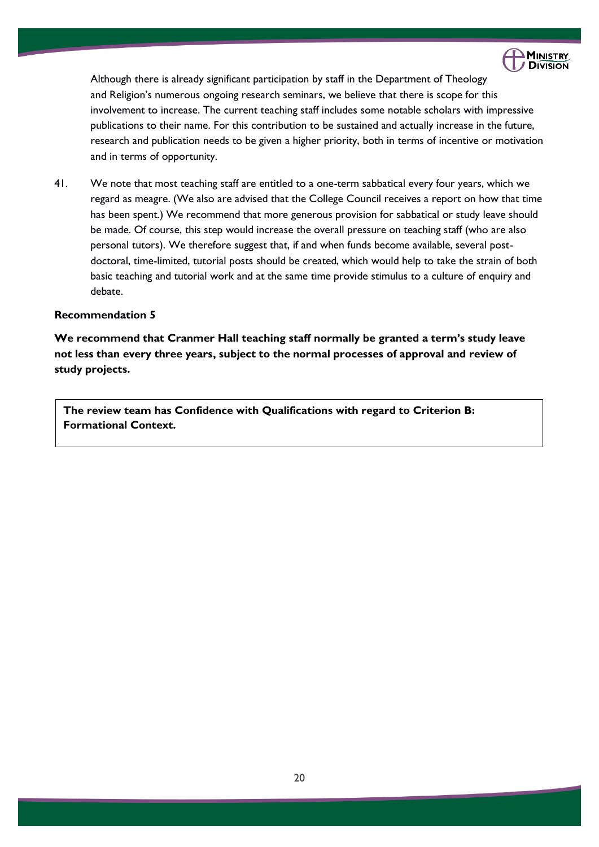

Although there is already significant participation by staff in the Department of Theology and Religion's numerous ongoing research seminars, we believe that there is scope for this involvement to increase. The current teaching staff includes some notable scholars with impressive publications to their name. For this contribution to be sustained and actually increase in the future, research and publication needs to be given a higher priority, both in terms of incentive or motivation and in terms of opportunity.

41. We note that most teaching staff are entitled to a one-term sabbatical every four years, which we regard as meagre. (We also are advised that the College Council receives a report on how that time has been spent.) We recommend that more generous provision for sabbatical or study leave should be made. Of course, this step would increase the overall pressure on teaching staff (who are also personal tutors). We therefore suggest that, if and when funds become available, several postdoctoral, time-limited, tutorial posts should be created, which would help to take the strain of both basic teaching and tutorial work and at the same time provide stimulus to a culture of enquiry and debate.

### **Recommendation 5**

**We recommend that Cranmer Hall teaching staff normally be granted a term's study leave not less than every three years, subject to the normal processes of approval and review of study projects.**

**The review team has Confidence with Qualifications with regard to Criterion B: Formational Context.**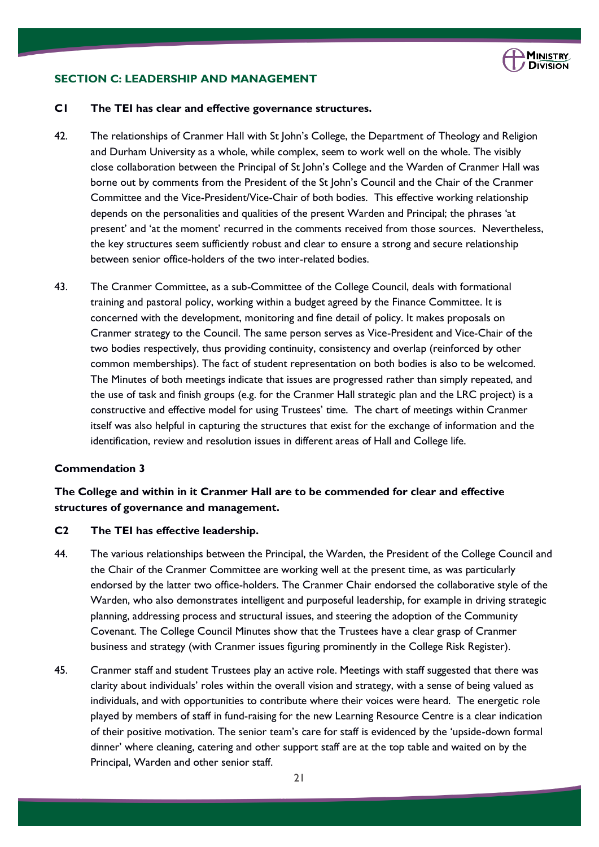

### **SECTION C: LEADERSHIP AND MANAGEMENT**

### **C1 The TEI has clear and effective governance structures.**

- 42. The relationships of Cranmer Hall with St John's College, the Department of Theology and Religion and Durham University as a whole, while complex, seem to work well on the whole. The visibly close collaboration between the Principal of St John's College and the Warden of Cranmer Hall was borne out by comments from the President of the St John's Council and the Chair of the Cranmer Committee and the Vice-President/Vice-Chair of both bodies. This effective working relationship depends on the personalities and qualities of the present Warden and Principal; the phrases 'at present' and 'at the moment' recurred in the comments received from those sources. Nevertheless, the key structures seem sufficiently robust and clear to ensure a strong and secure relationship between senior office-holders of the two inter-related bodies.
- 43. The Cranmer Committee, as a sub-Committee of the College Council, deals with formational training and pastoral policy, working within a budget agreed by the Finance Committee. It is concerned with the development, monitoring and fine detail of policy. It makes proposals on Cranmer strategy to the Council. The same person serves as Vice-President and Vice-Chair of the two bodies respectively, thus providing continuity, consistency and overlap (reinforced by other common memberships). The fact of student representation on both bodies is also to be welcomed. The Minutes of both meetings indicate that issues are progressed rather than simply repeated, and the use of task and finish groups (e.g. for the Cranmer Hall strategic plan and the LRC project) is a constructive and effective model for using Trustees' time. The chart of meetings within Cranmer itself was also helpful in capturing the structures that exist for the exchange of information and the identification, review and resolution issues in different areas of Hall and College life.

### **Commendation 3**

### **The College and within in it Cranmer Hall are to be commended for clear and effective structures of governance and management.**

### **C2 The TEI has effective leadership.**

- 44. The various relationships between the Principal, the Warden, the President of the College Council and the Chair of the Cranmer Committee are working well at the present time, as was particularly endorsed by the latter two office-holders. The Cranmer Chair endorsed the collaborative style of the Warden, who also demonstrates intelligent and purposeful leadership, for example in driving strategic planning, addressing process and structural issues, and steering the adoption of the Community Covenant. The College Council Minutes show that the Trustees have a clear grasp of Cranmer business and strategy (with Cranmer issues figuring prominently in the College Risk Register).
- 45. Cranmer staff and student Trustees play an active role. Meetings with staff suggested that there was clarity about individuals' roles within the overall vision and strategy, with a sense of being valued as individuals, and with opportunities to contribute where their voices were heard. The energetic role played by members of staff in fund-raising for the new Learning Resource Centre is a clear indication of their positive motivation. The senior team's care for staff is evidenced by the 'upside-down formal dinner' where cleaning, catering and other support staff are at the top table and waited on by the Principal, Warden and other senior staff.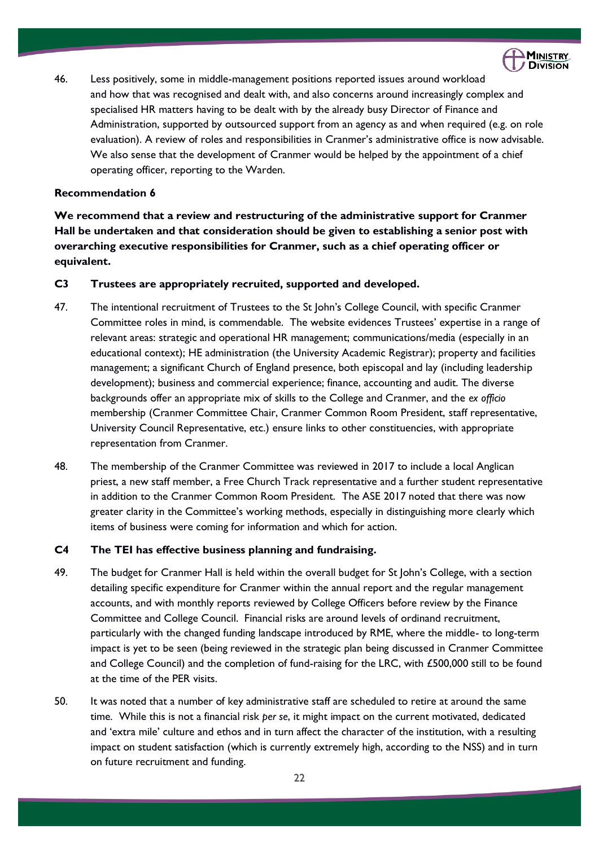

46. Less positively, some in middle-management positions reported issues around workload and how that was recognised and dealt with, and also concerns around increasingly complex and specialised HR matters having to be dealt with by the already busy Director of Finance and Administration, supported by outsourced support from an agency as and when required (e.g. on role evaluation). A review of roles and responsibilities in Cranmer's administrative office is now advisable. We also sense that the development of Cranmer would be helped by the appointment of a chief operating officer, reporting to the Warden.

### **Recommendation 6**

**We recommend that a review and restructuring of the administrative support for Cranmer Hall be undertaken and that consideration should be given to establishing a senior post with overarching executive responsibilities for Cranmer, such as a chief operating officer or equivalent.**

### **C3 Trustees are appropriately recruited, supported and developed.**

- 47. The intentional recruitment of Trustees to the St John's College Council, with specific Cranmer Committee roles in mind, is commendable. The website evidences Trustees' expertise in a range of relevant areas: strategic and operational HR management; communications/media (especially in an educational context); HE administration (the University Academic Registrar); property and facilities management; a significant Church of England presence, both episcopal and lay (including leadership development); business and commercial experience; finance, accounting and audit. The diverse backgrounds offer an appropriate mix of skills to the College and Cranmer, and the *ex officio* membership (Cranmer Committee Chair, Cranmer Common Room President, staff representative, University Council Representative, etc.) ensure links to other constituencies, with appropriate representation from Cranmer.
- 48. The membership of the Cranmer Committee was reviewed in 2017 to include a local Anglican priest, a new staff member, a Free Church Track representative and a further student representative in addition to the Cranmer Common Room President. The ASE 2017 noted that there was now greater clarity in the Committee's working methods, especially in distinguishing more clearly which items of business were coming for information and which for action.

### **C4 The TEI has effective business planning and fundraising.**

- 49. The budget for Cranmer Hall is held within the overall budget for St John's College, with a section detailing specific expenditure for Cranmer within the annual report and the regular management accounts, and with monthly reports reviewed by College Officers before review by the Finance Committee and College Council. Financial risks are around levels of ordinand recruitment, particularly with the changed funding landscape introduced by RME, where the middle- to long-term impact is yet to be seen (being reviewed in the strategic plan being discussed in Cranmer Committee and College Council) and the completion of fund-raising for the LRC, with £500,000 still to be found at the time of the PER visits.
- 50. It was noted that a number of key administrative staff are scheduled to retire at around the same time. While this is not a financial risk *per se*, it might impact on the current motivated, dedicated and 'extra mile' culture and ethos and in turn affect the character of the institution, with a resulting impact on student satisfaction (which is currently extremely high, according to the NSS) and in turn on future recruitment and funding.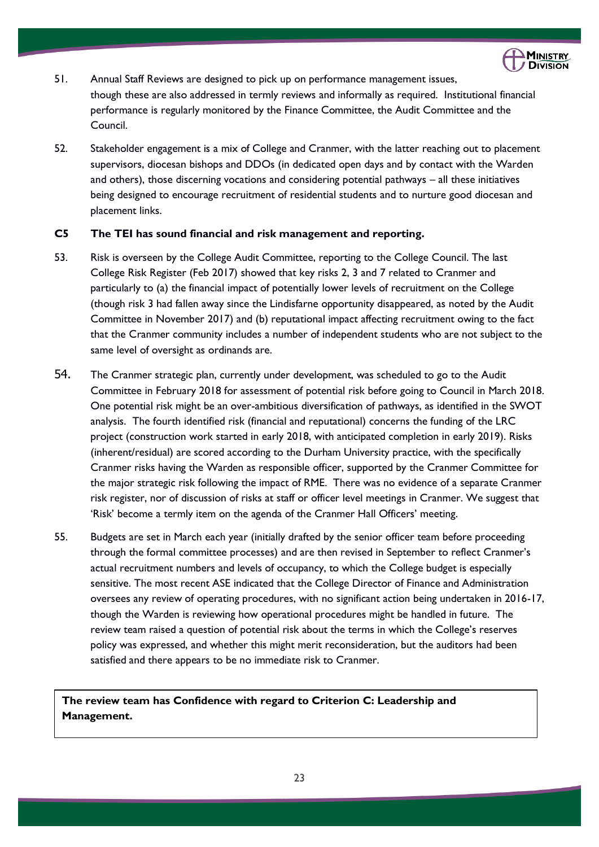

- 51. Annual Staff Reviews are designed to pick up on performance management issues, though these are also addressed in termly reviews and informally as required. Institutional financial performance is regularly monitored by the Finance Committee, the Audit Committee and the Council.
- 52. Stakeholder engagement is a mix of College and Cranmer, with the latter reaching out to placement supervisors, diocesan bishops and DDOs (in dedicated open days and by contact with the Warden and others), those discerning vocations and considering potential pathways – all these initiatives being designed to encourage recruitment of residential students and to nurture good diocesan and placement links.

### **C5 The TEI has sound financial and risk management and reporting.**

- 53. Risk is overseen by the College Audit Committee, reporting to the College Council. The last College Risk Register (Feb 2017) showed that key risks 2, 3 and 7 related to Cranmer and particularly to (a) the financial impact of potentially lower levels of recruitment on the College (though risk 3 had fallen away since the Lindisfarne opportunity disappeared, as noted by the Audit Committee in November 2017) and (b) reputational impact affecting recruitment owing to the fact that the Cranmer community includes a number of independent students who are not subject to the same level of oversight as ordinands are.
- 54. The Cranmer strategic plan, currently under development, was scheduled to go to the Audit Committee in February 2018 for assessment of potential risk before going to Council in March 2018. One potential risk might be an over-ambitious diversification of pathways, as identified in the SWOT analysis. The fourth identified risk (financial and reputational) concerns the funding of the LRC project (construction work started in early 2018, with anticipated completion in early 2019). Risks (inherent/residual) are scored according to the Durham University practice, with the specifically Cranmer risks having the Warden as responsible officer, supported by the Cranmer Committee for the major strategic risk following the impact of RME. There was no evidence of a separate Cranmer risk register, nor of discussion of risks at staff or officer level meetings in Cranmer. We suggest that 'Risk' become a termly item on the agenda of the Cranmer Hall Officers' meeting.
- 55. Budgets are set in March each year (initially drafted by the senior officer team before proceeding through the formal committee processes) and are then revised in September to reflect Cranmer's actual recruitment numbers and levels of occupancy, to which the College budget is especially sensitive. The most recent ASE indicated that the College Director of Finance and Administration oversees any review of operating procedures, with no significant action being undertaken in 2016-17, though the Warden is reviewing how operational procedures might be handled in future. The review team raised a question of potential risk about the terms in which the College's reserves policy was expressed, and whether this might merit reconsideration, but the auditors had been satisfied and there appears to be no immediate risk to Cranmer.

### **The review team has Confidence with regard to Criterion C: Leadership and Management.**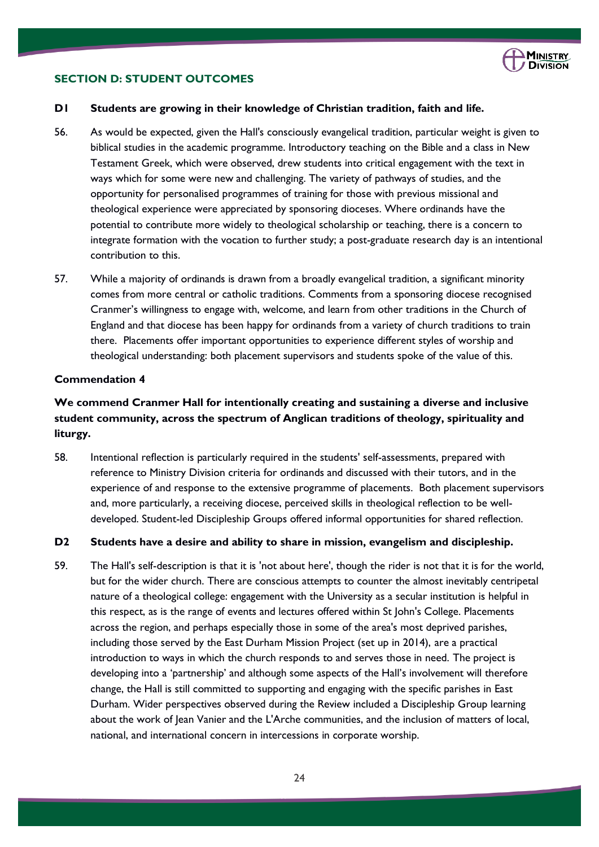

### **SECTION D: STUDENT OUTCOMES**

### **D1 Students are growing in their knowledge of Christian tradition, faith and life.**

- 56. As would be expected, given the Hall's consciously evangelical tradition, particular weight is given to biblical studies in the academic programme. Introductory teaching on the Bible and a class in New Testament Greek, which were observed, drew students into critical engagement with the text in ways which for some were new and challenging. The variety of pathways of studies, and the opportunity for personalised programmes of training for those with previous missional and theological experience were appreciated by sponsoring dioceses. Where ordinands have the potential to contribute more widely to theological scholarship or teaching, there is a concern to integrate formation with the vocation to further study; a post-graduate research day is an intentional contribution to this.
- 57. While a majority of ordinands is drawn from a broadly evangelical tradition, a significant minority comes from more central or catholic traditions. Comments from a sponsoring diocese recognised Cranmer's willingness to engage with, welcome, and learn from other traditions in the Church of England and that diocese has been happy for ordinands from a variety of church traditions to train there. Placements offer important opportunities to experience different styles of worship and theological understanding: both placement supervisors and students spoke of the value of this.

### **Commendation 4**

### **We commend Cranmer Hall for intentionally creating and sustaining a diverse and inclusive student community, across the spectrum of Anglican traditions of theology, spirituality and liturgy.**

58. Intentional reflection is particularly required in the students' self-assessments, prepared with reference to Ministry Division criteria for ordinands and discussed with their tutors, and in the experience of and response to the extensive programme of placements. Both placement supervisors and, more particularly, a receiving diocese, perceived skills in theological reflection to be welldeveloped. Student-led Discipleship Groups offered informal opportunities for shared reflection.

#### **D2 Students have a desire and ability to share in mission, evangelism and discipleship.**

59. The Hall's self-description is that it is 'not about here', though the rider is not that it is for the world, but for the wider church. There are conscious attempts to counter the almost inevitably centripetal nature of a theological college: engagement with the University as a secular institution is helpful in this respect, as is the range of events and lectures offered within St John's College. Placements across the region, and perhaps especially those in some of the area's most deprived parishes, including those served by the East Durham Mission Project (set up in 2014), are a practical introduction to ways in which the church responds to and serves those in need. The project is developing into a 'partnership' and although some aspects of the Hall's involvement will therefore change, the Hall is still committed to supporting and engaging with the specific parishes in East Durham. Wider perspectives observed during the Review included a Discipleship Group learning about the work of Jean Vanier and the L'Arche communities, and the inclusion of matters of local, national, and international concern in intercessions in corporate worship.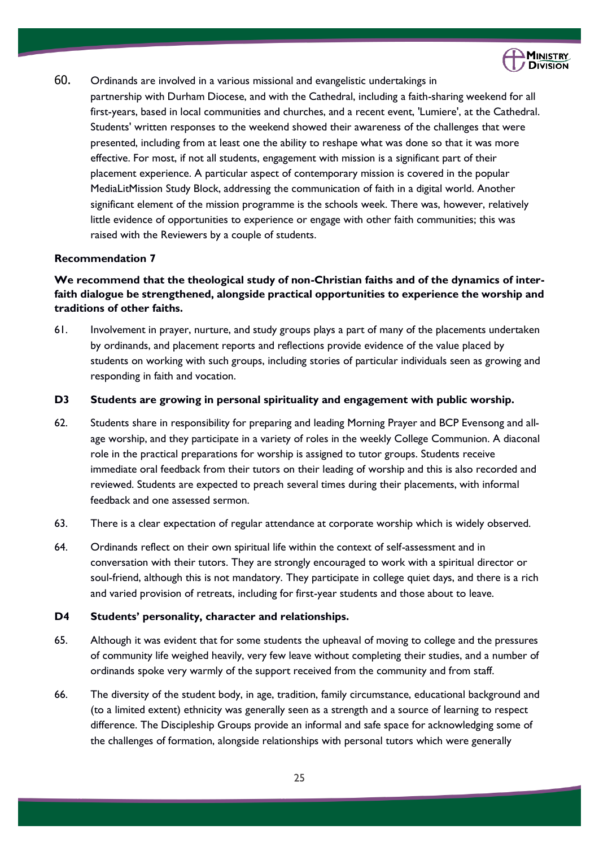

- 60. Ordinands are involved in a various missional and evangelistic undertakings in
	- partnership with Durham Diocese, and with the Cathedral, including a faith-sharing weekend for all first-years, based in local communities and churches, and a recent event, 'Lumiere', at the Cathedral. Students' written responses to the weekend showed their awareness of the challenges that were presented, including from at least one the ability to reshape what was done so that it was more effective. For most, if not all students, engagement with mission is a significant part of their placement experience. A particular aspect of contemporary mission is covered in the popular MediaLitMission Study Block, addressing the communication of faith in a digital world. Another significant element of the mission programme is the schools week. There was, however, relatively little evidence of opportunities to experience or engage with other faith communities; this was raised with the Reviewers by a couple of students.

### **Recommendation 7**

### **We recommend that the theological study of non-Christian faiths and of the dynamics of interfaith dialogue be strengthened, alongside practical opportunities to experience the worship and traditions of other faiths.**

61. Involvement in prayer, nurture, and study groups plays a part of many of the placements undertaken by ordinands, and placement reports and reflections provide evidence of the value placed by students on working with such groups, including stories of particular individuals seen as growing and responding in faith and vocation.

### **D3 Students are growing in personal spirituality and engagement with public worship.**

- 62. Students share in responsibility for preparing and leading Morning Prayer and BCP Evensong and allage worship, and they participate in a variety of roles in the weekly College Communion. A diaconal role in the practical preparations for worship is assigned to tutor groups. Students receive immediate oral feedback from their tutors on their leading of worship and this is also recorded and reviewed. Students are expected to preach several times during their placements, with informal feedback and one assessed sermon.
- 63. There is a clear expectation of regular attendance at corporate worship which is widely observed.
- 64. Ordinands reflect on their own spiritual life within the context of self-assessment and in conversation with their tutors. They are strongly encouraged to work with a spiritual director or soul-friend, although this is not mandatory. They participate in college quiet days, and there is a rich and varied provision of retreats, including for first-year students and those about to leave.

### **D4 Students' personality, character and relationships.**

- 65. Although it was evident that for some students the upheaval of moving to college and the pressures of community life weighed heavily, very few leave without completing their studies, and a number of ordinands spoke very warmly of the support received from the community and from staff.
- 66. The diversity of the student body, in age, tradition, family circumstance, educational background and (to a limited extent) ethnicity was generally seen as a strength and a source of learning to respect difference. The Discipleship Groups provide an informal and safe space for acknowledging some of the challenges of formation, alongside relationships with personal tutors which were generally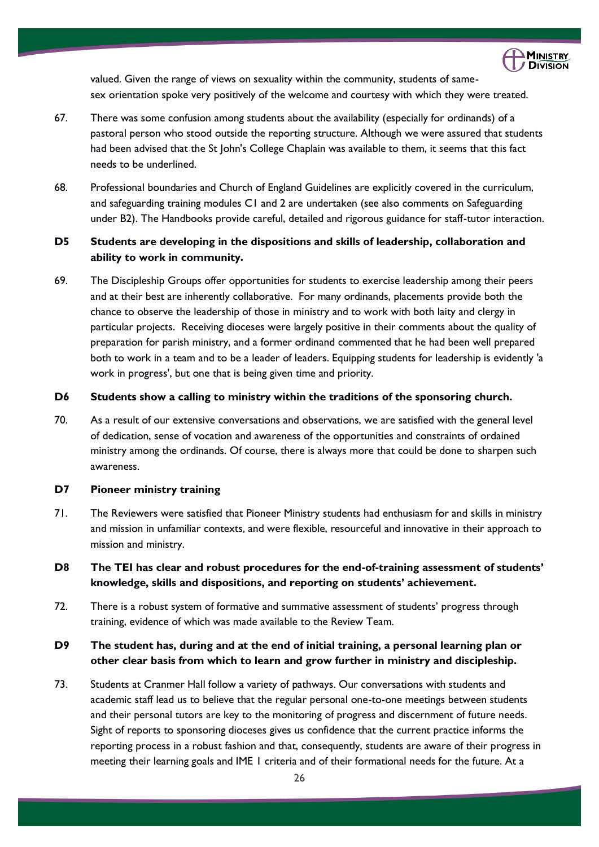

valued. Given the range of views on sexuality within the community, students of samesex orientation spoke very positively of the welcome and courtesy with which they were treated.

- 67. There was some confusion among students about the availability (especially for ordinands) of a pastoral person who stood outside the reporting structure. Although we were assured that students had been advised that the St John's College Chaplain was available to them, it seems that this fact needs to be underlined.
- 68. Professional boundaries and Church of England Guidelines are explicitly covered in the curriculum, and safeguarding training modules C1 and 2 are undertaken (see also comments on Safeguarding under B2). The Handbooks provide careful, detailed and rigorous guidance for staff-tutor interaction.

### **D5 Students are developing in the dispositions and skills of leadership, collaboration and ability to work in community.**

69. The Discipleship Groups offer opportunities for students to exercise leadership among their peers and at their best are inherently collaborative. For many ordinands, placements provide both the chance to observe the leadership of those in ministry and to work with both laity and clergy in particular projects. Receiving dioceses were largely positive in their comments about the quality of preparation for parish ministry, and a former ordinand commented that he had been well prepared both to work in a team and to be a leader of leaders. Equipping students for leadership is evidently 'a work in progress', but one that is being given time and priority.

### **D6 Students show a calling to ministry within the traditions of the sponsoring church.**

70. As a result of our extensive conversations and observations, we are satisfied with the general level of dedication, sense of vocation and awareness of the opportunities and constraints of ordained ministry among the ordinands. Of course, there is always more that could be done to sharpen such awareness.

### **D7 Pioneer ministry training**

- 71. The Reviewers were satisfied that Pioneer Ministry students had enthusiasm for and skills in ministry and mission in unfamiliar contexts, and were flexible, resourceful and innovative in their approach to mission and ministry.
- **D8 The TEI has clear and robust procedures for the end-of-training assessment of students' knowledge, skills and dispositions, and reporting on students' achievement.**
- 72. There is a robust system of formative and summative assessment of students' progress through training, evidence of which was made available to the Review Team.

### **D9 The student has, during and at the end of initial training, a personal learning plan or other clear basis from which to learn and grow further in ministry and discipleship.**

73. Students at Cranmer Hall follow a variety of pathways. Our conversations with students and academic staff lead us to believe that the regular personal one-to-one meetings between students and their personal tutors are key to the monitoring of progress and discernment of future needs. Sight of reports to sponsoring dioceses gives us confidence that the current practice informs the reporting process in a robust fashion and that, consequently, students are aware of their progress in meeting their learning goals and IME 1 criteria and of their formational needs for the future. At a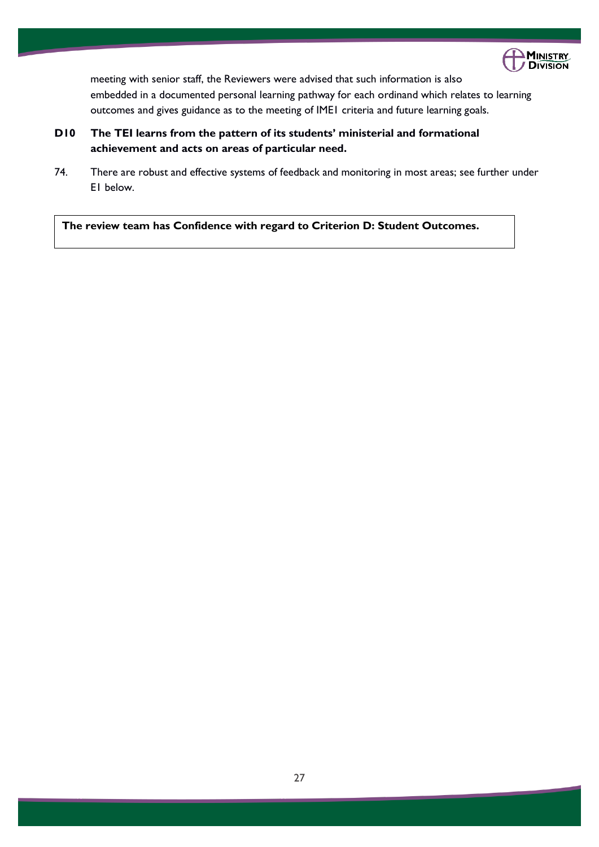

meeting with senior staff, the Reviewers were advised that such information is also embedded in a documented personal learning pathway for each ordinand which relates to learning outcomes and gives guidance as to the meeting of IME1 criteria and future learning goals.

- **D10 The TEI learns from the pattern of its students' ministerial and formational achievement and acts on areas of particular need.**
- 74. There are robust and effective systems of feedback and monitoring in most areas; see further under E1 below.

**The review team has Confidence with regard to Criterion D: Student Outcomes.**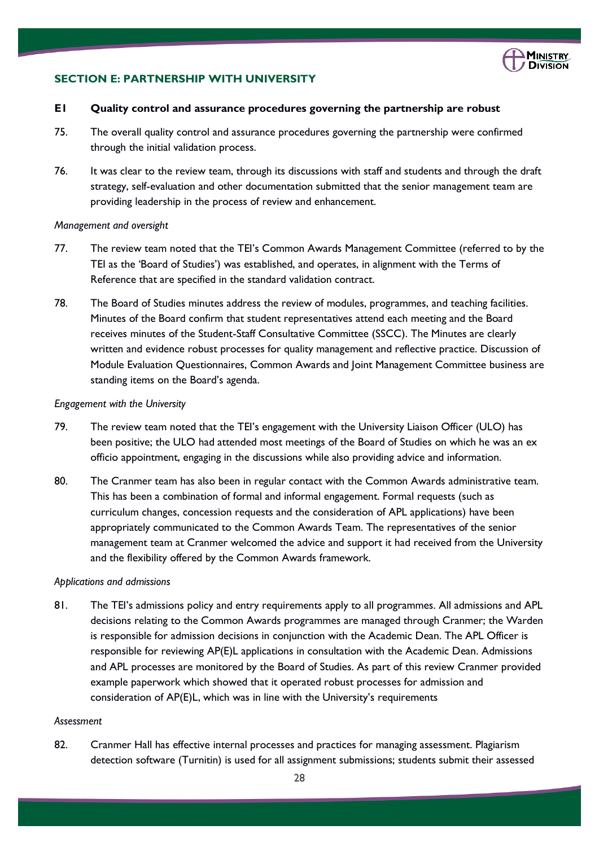

### **SECTION E: PARTNERSHIP WITH UNIVERSITY**

#### **E1 Quality control and assurance procedures governing the partnership are robust**

- 75. The overall quality control and assurance procedures governing the partnership were confirmed through the initial validation process.
- 76. It was clear to the review team, through its discussions with staff and students and through the draft strategy, self-evaluation and other documentation submitted that the senior management team are providing leadership in the process of review and enhancement.

#### *Management and oversight*

- 77. The review team noted that the TEI's Common Awards Management Committee (referred to by the TEI as the 'Board of Studies') was established, and operates, in alignment with the Terms of Reference that are specified in the standard validation contract.
- 78. The Board of Studies minutes address the review of modules, programmes, and teaching facilities. Minutes of the Board confirm that student representatives attend each meeting and the Board receives minutes of the Student-Staff Consultative Committee (SSCC). The Minutes are clearly written and evidence robust processes for quality management and reflective practice. Discussion of Module Evaluation Questionnaires, Common Awards and Joint Management Committee business are standing items on the Board's agenda.

#### *Engagement with the University*

- 79. The review team noted that the TEI's engagement with the University Liaison Officer (ULO) has been positive; the ULO had attended most meetings of the Board of Studies on which he was an ex officio appointment, engaging in the discussions while also providing advice and information.
- 80. The Cranmer team has also been in regular contact with the Common Awards administrative team. This has been a combination of formal and informal engagement. Formal requests (such as curriculum changes, concession requests and the consideration of APL applications) have been appropriately communicated to the Common Awards Team. The representatives of the senior management team at Cranmer welcomed the advice and support it had received from the University and the flexibility offered by the Common Awards framework.

#### *Applications and admissions*

81. The TEI's admissions policy and entry requirements apply to all programmes. All admissions and APL decisions relating to the Common Awards programmes are managed through Cranmer; the Warden is responsible for admission decisions in conjunction with the Academic Dean. The APL Officer is responsible for reviewing AP(E)L applications in consultation with the Academic Dean. Admissions and APL processes are monitored by the Board of Studies. As part of this review Cranmer provided example paperwork which showed that it operated robust processes for admission and consideration of AP(E)L, which was in line with the University's requirements

#### *Assessment*

82. Cranmer Hall has effective internal processes and practices for managing assessment. Plagiarism detection software (Turnitin) is used for all assignment submissions; students submit their assessed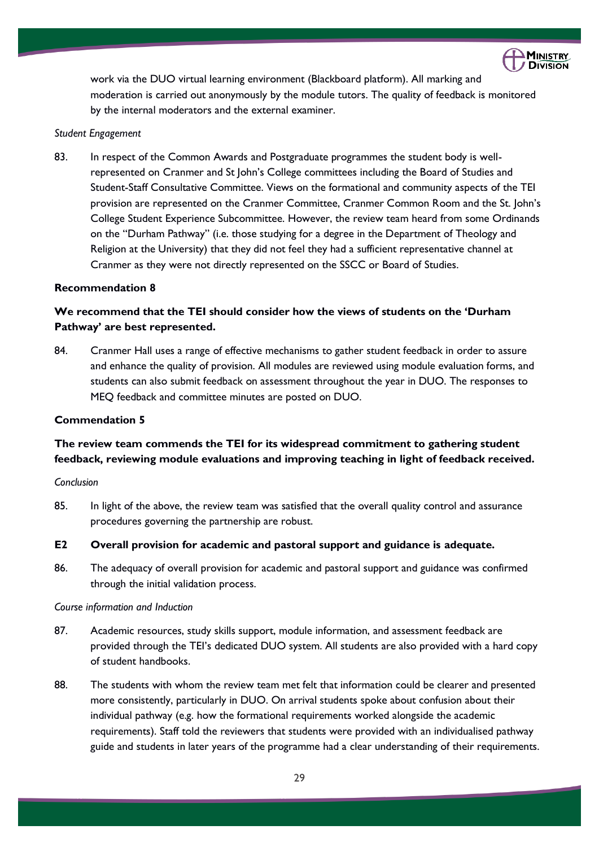

work via the DUO virtual learning environment (Blackboard platform). All marking and moderation is carried out anonymously by the module tutors. The quality of feedback is monitored by the internal moderators and the external examiner.

#### *Student Engagement*

83. In respect of the Common Awards and Postgraduate programmes the student body is wellrepresented on Cranmer and St John's College committees including the Board of Studies and Student-Staff Consultative Committee. Views on the formational and community aspects of the TEI provision are represented on the Cranmer Committee, Cranmer Common Room and the St. John's College Student Experience Subcommittee. However, the review team heard from some Ordinands on the "Durham Pathway" (i.e. those studying for a degree in the Department of Theology and Religion at the University) that they did not feel they had a sufficient representative channel at Cranmer as they were not directly represented on the SSCC or Board of Studies.

### **Recommendation 8**

### **We recommend that the TEI should consider how the views of students on the 'Durham Pathway' are best represented.**

84. Cranmer Hall uses a range of effective mechanisms to gather student feedback in order to assure and enhance the quality of provision. All modules are reviewed using module evaluation forms, and students can also submit feedback on assessment throughout the year in DUO. The responses to MEQ feedback and committee minutes are posted on DUO.

### **Commendation 5**

### **The review team commends the TEI for its widespread commitment to gathering student feedback, reviewing module evaluations and improving teaching in light of feedback received.**

### *Conclusion*

85. In light of the above, the review team was satisfied that the overall quality control and assurance procedures governing the partnership are robust.

### **E2 Overall provision for academic and pastoral support and guidance is adequate.**

86. The adequacy of overall provision for academic and pastoral support and guidance was confirmed through the initial validation process.

#### *Course information and Induction*

- 87. Academic resources, study skills support, module information, and assessment feedback are provided through the TEI's dedicated DUO system. All students are also provided with a hard copy of student handbooks.
- 88. The students with whom the review team met felt that information could be clearer and presented more consistently, particularly in DUO. On arrival students spoke about confusion about their individual pathway (e.g. how the formational requirements worked alongside the academic requirements). Staff told the reviewers that students were provided with an individualised pathway guide and students in later years of the programme had a clear understanding of their requirements.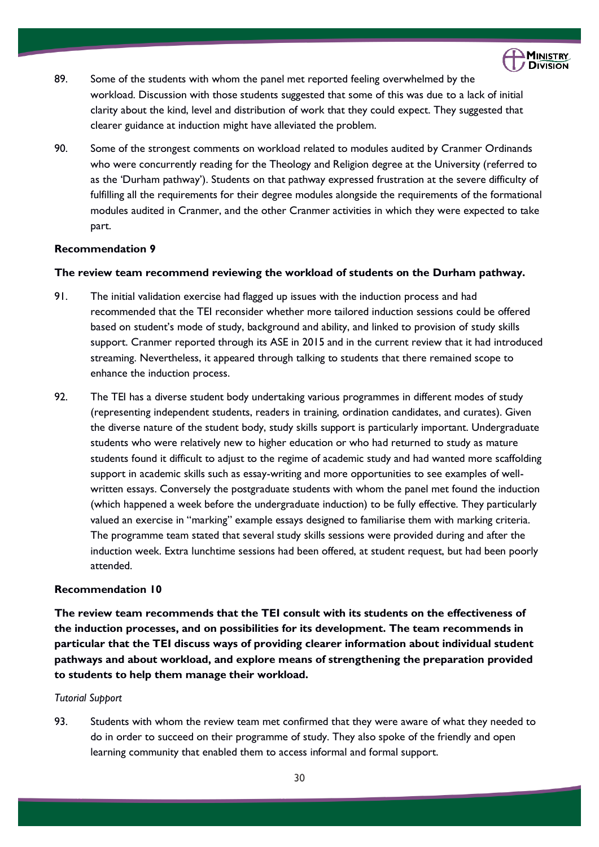

- 89. Some of the students with whom the panel met reported feeling overwhelmed by the workload. Discussion with those students suggested that some of this was due to a lack of initial clarity about the kind, level and distribution of work that they could expect. They suggested that clearer guidance at induction might have alleviated the problem.
- 90. Some of the strongest comments on workload related to modules audited by Cranmer Ordinands who were concurrently reading for the Theology and Religion degree at the University (referred to as the 'Durham pathway'). Students on that pathway expressed frustration at the severe difficulty of fulfilling all the requirements for their degree modules alongside the requirements of the formational modules audited in Cranmer, and the other Cranmer activities in which they were expected to take part.

### **Recommendation 9**

### **The review team recommend reviewing the workload of students on the Durham pathway.**

- 91. The initial validation exercise had flagged up issues with the induction process and had recommended that the TEI reconsider whether more tailored induction sessions could be offered based on student's mode of study, background and ability, and linked to provision of study skills support. Cranmer reported through its ASE in 2015 and in the current review that it had introduced streaming. Nevertheless, it appeared through talking to students that there remained scope to enhance the induction process.
- 92. The TEI has a diverse student body undertaking various programmes in different modes of study (representing independent students, readers in training, ordination candidates, and curates). Given the diverse nature of the student body, study skills support is particularly important. Undergraduate students who were relatively new to higher education or who had returned to study as mature students found it difficult to adjust to the regime of academic study and had wanted more scaffolding support in academic skills such as essay-writing and more opportunities to see examples of wellwritten essays. Conversely the postgraduate students with whom the panel met found the induction (which happened a week before the undergraduate induction) to be fully effective. They particularly valued an exercise in "marking" example essays designed to familiarise them with marking criteria. The programme team stated that several study skills sessions were provided during and after the induction week. Extra lunchtime sessions had been offered, at student request, but had been poorly attended.

### **Recommendation 10**

**The review team recommends that the TEI consult with its students on the effectiveness of the induction processes, and on possibilities for its development. The team recommends in particular that the TEI discuss ways of providing clearer information about individual student pathways and about workload, and explore means of strengthening the preparation provided to students to help them manage their workload.**

### *Tutorial Support*

93. Students with whom the review team met confirmed that they were aware of what they needed to do in order to succeed on their programme of study. They also spoke of the friendly and open learning community that enabled them to access informal and formal support.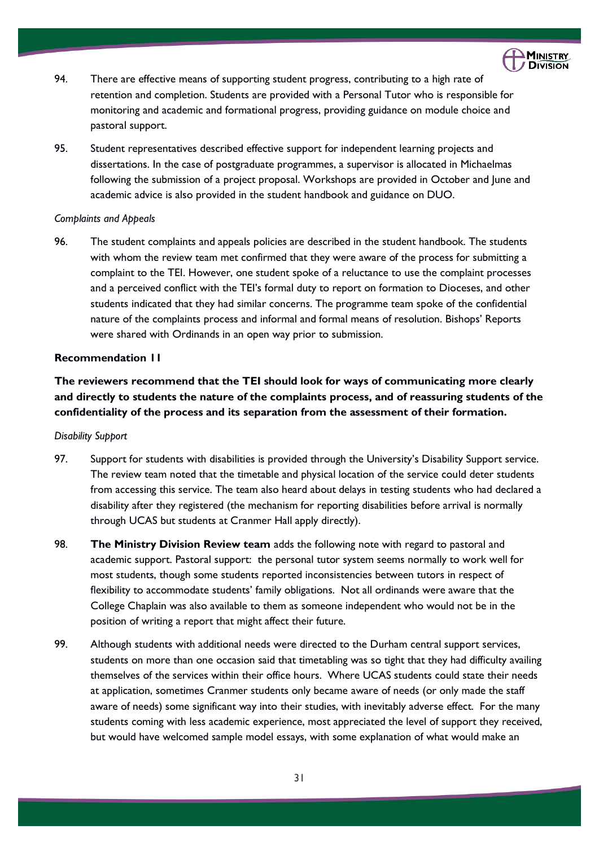

- 94. There are effective means of supporting student progress, contributing to a high rate of retention and completion. Students are provided with a Personal Tutor who is responsible for monitoring and academic and formational progress, providing guidance on module choice and pastoral support.
- 95. Student representatives described effective support for independent learning projects and dissertations. In the case of postgraduate programmes, a supervisor is allocated in Michaelmas following the submission of a project proposal. Workshops are provided in October and June and academic advice is also provided in the student handbook and guidance on DUO.

### *Complaints and Appeals*

96. The student complaints and appeals policies are described in the student handbook. The students with whom the review team met confirmed that they were aware of the process for submitting a complaint to the TEI. However, one student spoke of a reluctance to use the complaint processes and a perceived conflict with the TEI's formal duty to report on formation to Dioceses, and other students indicated that they had similar concerns. The programme team spoke of the confidential nature of the complaints process and informal and formal means of resolution. Bishops' Reports were shared with Ordinands in an open way prior to submission.

### **Recommendation 11**

**The reviewers recommend that the TEI should look for ways of communicating more clearly and directly to students the nature of the complaints process, and of reassuring students of the confidentiality of the process and its separation from the assessment of their formation.**

### *Disability Support*

- 97. Support for students with disabilities is provided through the University's Disability Support service. The review team noted that the timetable and physical location of the service could deter students from accessing this service. The team also heard about delays in testing students who had declared a disability after they registered (the mechanism for reporting disabilities before arrival is normally through UCAS but students at Cranmer Hall apply directly).
- 98. **The Ministry Division Review team** adds the following note with regard to pastoral and academic support. Pastoral support: the personal tutor system seems normally to work well for most students, though some students reported inconsistencies between tutors in respect of flexibility to accommodate students' family obligations. Not all ordinands were aware that the College Chaplain was also available to them as someone independent who would not be in the position of writing a report that might affect their future.
- 99. Although students with additional needs were directed to the Durham central support services, students on more than one occasion said that timetabling was so tight that they had difficulty availing themselves of the services within their office hours. Where UCAS students could state their needs at application, sometimes Cranmer students only became aware of needs (or only made the staff aware of needs) some significant way into their studies, with inevitably adverse effect. For the many students coming with less academic experience, most appreciated the level of support they received, but would have welcomed sample model essays, with some explanation of what would make an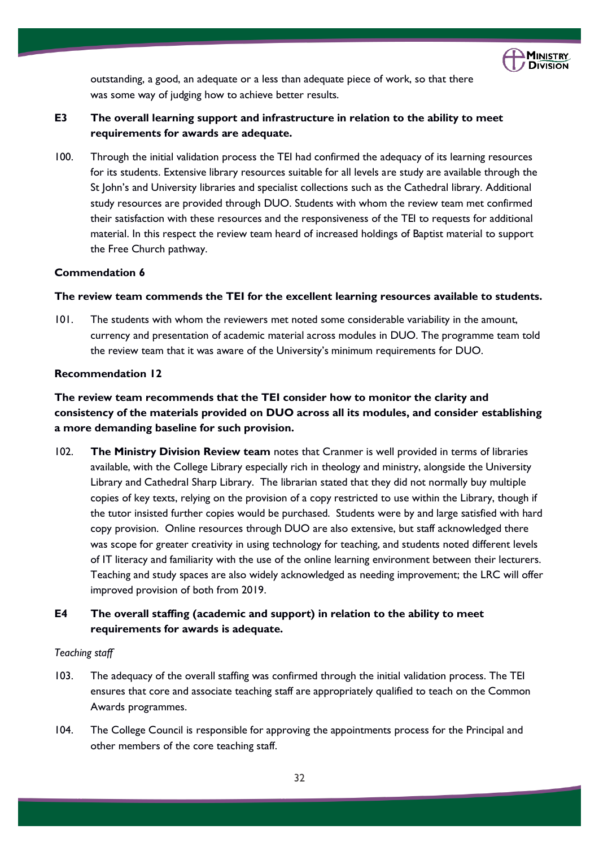

outstanding, a good, an adequate or a less than adequate piece of work, so that there was some way of judging how to achieve better results.

### **E3 The overall learning support and infrastructure in relation to the ability to meet requirements for awards are adequate.**

100. Through the initial validation process the TEI had confirmed the adequacy of its learning resources for its students. Extensive library resources suitable for all levels are study are available through the St John's and University libraries and specialist collections such as the Cathedral library. Additional study resources are provided through DUO. Students with whom the review team met confirmed their satisfaction with these resources and the responsiveness of the TEI to requests for additional material. In this respect the review team heard of increased holdings of Baptist material to support the Free Church pathway.

### **Commendation 6**

### **The review team commends the TEI for the excellent learning resources available to students.**

101. The students with whom the reviewers met noted some considerable variability in the amount, currency and presentation of academic material across modules in DUO. The programme team told the review team that it was aware of the University's minimum requirements for DUO.

### **Recommendation 12**

**The review team recommends that the TEI consider how to monitor the clarity and consistency of the materials provided on DUO across all its modules, and consider establishing a more demanding baseline for such provision.**

102. **The Ministry Division Review team** notes that Cranmer is well provided in terms of libraries available, with the College Library especially rich in theology and ministry, alongside the University Library and Cathedral Sharp Library. The librarian stated that they did not normally buy multiple copies of key texts, relying on the provision of a copy restricted to use within the Library, though if the tutor insisted further copies would be purchased. Students were by and large satisfied with hard copy provision. Online resources through DUO are also extensive, but staff acknowledged there was scope for greater creativity in using technology for teaching, and students noted different levels of IT literacy and familiarity with the use of the online learning environment between their lecturers. Teaching and study spaces are also widely acknowledged as needing improvement; the LRC will offer improved provision of both from 2019.

### **E4 The overall staffing (academic and support) in relation to the ability to meet requirements for awards is adequate.**

### *Teaching staff*

- 103. The adequacy of the overall staffing was confirmed through the initial validation process. The TEI ensures that core and associate teaching staff are appropriately qualified to teach on the Common Awards programmes.
- 104. The College Council is responsible for approving the appointments process for the Principal and other members of the core teaching staff.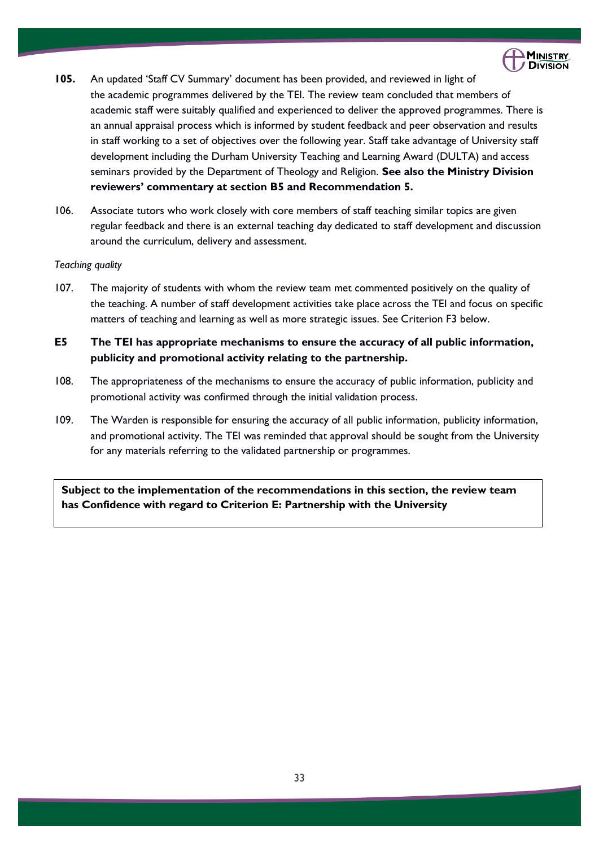

- **105.** An updated 'Staff CV Summary' document has been provided, and reviewed in light of the academic programmes delivered by the TEI. The review team concluded that members of academic staff were suitably qualified and experienced to deliver the approved programmes. There is an annual appraisal process which is informed by student feedback and peer observation and results in staff working to a set of objectives over the following year. Staff take advantage of University staff development including the Durham University Teaching and Learning Award (DULTA) and access seminars provided by the Department of Theology and Religion. **See also the Ministry Division reviewers' commentary at section B5 and Recommendation 5.**
- 106. Associate tutors who work closely with core members of staff teaching similar topics are given regular feedback and there is an external teaching day dedicated to staff development and discussion around the curriculum, delivery and assessment.

#### *Teaching quality*

- 107. The majority of students with whom the review team met commented positively on the quality of the teaching. A number of staff development activities take place across the TEI and focus on specific matters of teaching and learning as well as more strategic issues. See Criterion F3 below.
- **E5 The TEI has appropriate mechanisms to ensure the accuracy of all public information, publicity and promotional activity relating to the partnership.**
- 108. The appropriateness of the mechanisms to ensure the accuracy of public information, publicity and promotional activity was confirmed through the initial validation process.
- 109. The Warden is responsible for ensuring the accuracy of all public information, publicity information, and promotional activity. The TEI was reminded that approval should be sought from the University for any materials referring to the validated partnership or programmes.

**Subject to the implementation of the recommendations in this section, the review team has Confidence with regard to Criterion E: Partnership with the University**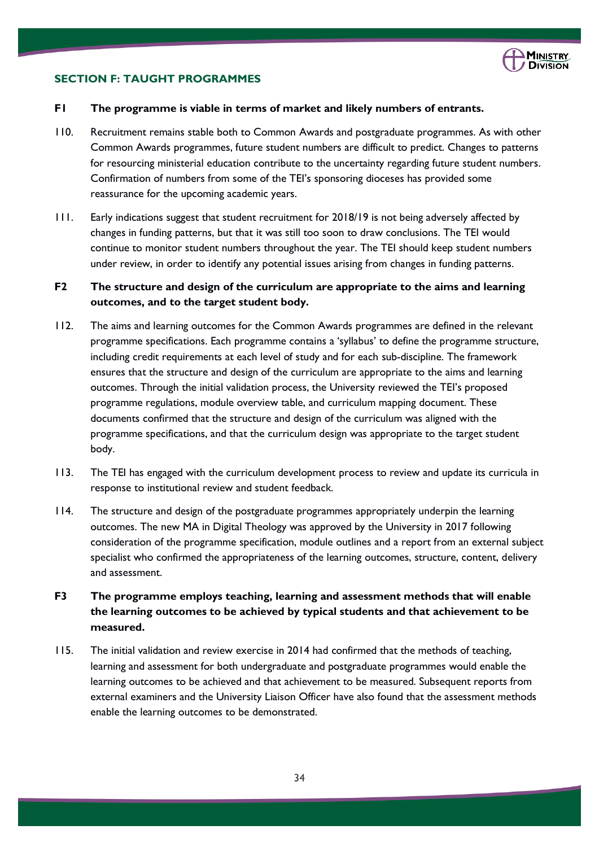

### **SECTION F: TAUGHT PROGRAMMES**

### **F1 The programme is viable in terms of market and likely numbers of entrants.**

- 110. Recruitment remains stable both to Common Awards and postgraduate programmes. As with other Common Awards programmes, future student numbers are difficult to predict. Changes to patterns for resourcing ministerial education contribute to the uncertainty regarding future student numbers. Confirmation of numbers from some of the TEI's sponsoring dioceses has provided some reassurance for the upcoming academic years.
- 111. Early indications suggest that student recruitment for 2018/19 is not being adversely affected by changes in funding patterns, but that it was still too soon to draw conclusions. The TEI would continue to monitor student numbers throughout the year. The TEI should keep student numbers under review, in order to identify any potential issues arising from changes in funding patterns.

### **F2 The structure and design of the curriculum are appropriate to the aims and learning outcomes, and to the target student body.**

- 112. The aims and learning outcomes for the Common Awards programmes are defined in the relevant programme specifications. Each programme contains a 'syllabus' to define the programme structure, including credit requirements at each level of study and for each sub-discipline. The framework ensures that the structure and design of the curriculum are appropriate to the aims and learning outcomes. Through the initial validation process, the University reviewed the TEI's proposed programme regulations, module overview table, and curriculum mapping document. These documents confirmed that the structure and design of the curriculum was aligned with the programme specifications, and that the curriculum design was appropriate to the target student body.
- 113. The TEI has engaged with the curriculum development process to review and update its curricula in response to institutional review and student feedback.
- 114. The structure and design of the postgraduate programmes appropriately underpin the learning outcomes. The new MA in Digital Theology was approved by the University in 2017 following consideration of the programme specification, module outlines and a report from an external subject specialist who confirmed the appropriateness of the learning outcomes, structure, content, delivery and assessment.
- **F3 The programme employs teaching, learning and assessment methods that will enable the learning outcomes to be achieved by typical students and that achievement to be measured.**
- 115. The initial validation and review exercise in 2014 had confirmed that the methods of teaching, learning and assessment for both undergraduate and postgraduate programmes would enable the learning outcomes to be achieved and that achievement to be measured. Subsequent reports from external examiners and the University Liaison Officer have also found that the assessment methods enable the learning outcomes to be demonstrated.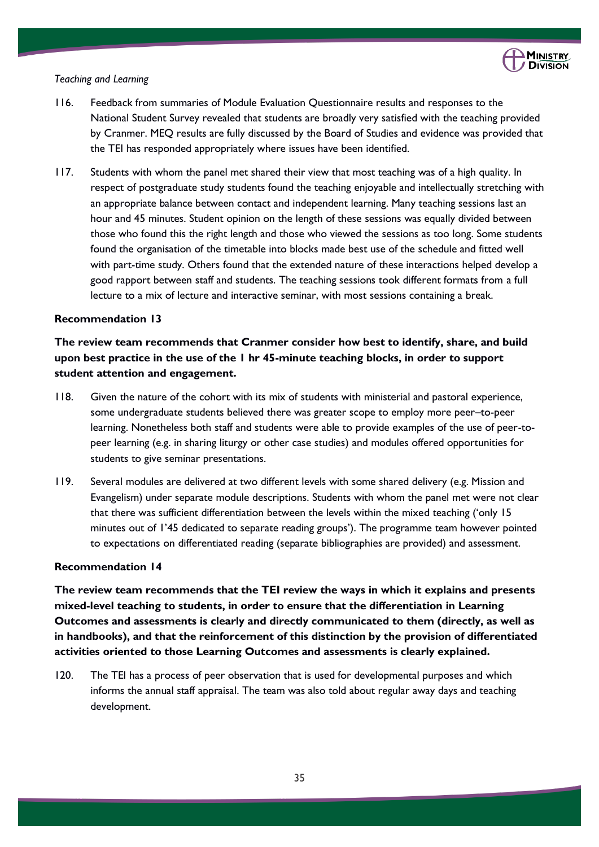

#### *Teaching and Learning*

- 116. Feedback from summaries of Module Evaluation Questionnaire results and responses to the National Student Survey revealed that students are broadly very satisfied with the teaching provided by Cranmer. MEQ results are fully discussed by the Board of Studies and evidence was provided that the TEI has responded appropriately where issues have been identified.
- 117. Students with whom the panel met shared their view that most teaching was of a high quality. In respect of postgraduate study students found the teaching enjoyable and intellectually stretching with an appropriate balance between contact and independent learning. Many teaching sessions last an hour and 45 minutes. Student opinion on the length of these sessions was equally divided between those who found this the right length and those who viewed the sessions as too long. Some students found the organisation of the timetable into blocks made best use of the schedule and fitted well with part-time study. Others found that the extended nature of these interactions helped develop a good rapport between staff and students. The teaching sessions took different formats from a full lecture to a mix of lecture and interactive seminar, with most sessions containing a break.

### **Recommendation 13**

**The review team recommends that Cranmer consider how best to identify, share, and build upon best practice in the use of the 1 hr 45-minute teaching blocks, in order to support student attention and engagement.**

- 118. Given the nature of the cohort with its mix of students with ministerial and pastoral experience, some undergraduate students believed there was greater scope to employ more peer–to-peer learning. Nonetheless both staff and students were able to provide examples of the use of peer-topeer learning (e.g. in sharing liturgy or other case studies) and modules offered opportunities for students to give seminar presentations.
- 119. Several modules are delivered at two different levels with some shared delivery (e.g. Mission and Evangelism) under separate module descriptions. Students with whom the panel met were not clear that there was sufficient differentiation between the levels within the mixed teaching ('only 15 minutes out of 1'45 dedicated to separate reading groups'). The programme team however pointed to expectations on differentiated reading (separate bibliographies are provided) and assessment.

### **Recommendation 14**

**The review team recommends that the TEI review the ways in which it explains and presents mixed-level teaching to students, in order to ensure that the differentiation in Learning Outcomes and assessments is clearly and directly communicated to them (directly, as well as in handbooks), and that the reinforcement of this distinction by the provision of differentiated activities oriented to those Learning Outcomes and assessments is clearly explained.**

120. The TEI has a process of peer observation that is used for developmental purposes and which informs the annual staff appraisal. The team was also told about regular away days and teaching development.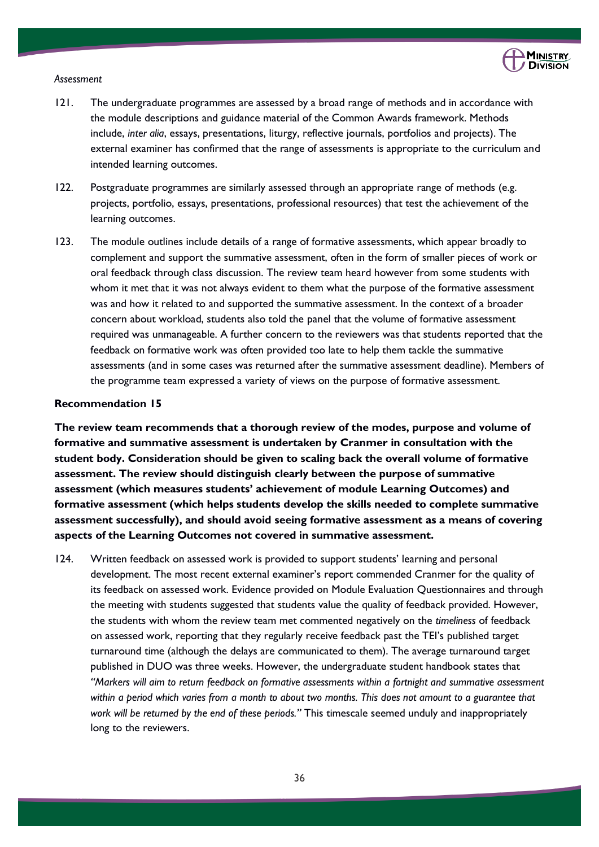

#### *Assessment*

- 121. The undergraduate programmes are assessed by a broad range of methods and in accordance with the module descriptions and guidance material of the Common Awards framework. Methods include, *inter alia*, essays, presentations, liturgy, reflective journals, portfolios and projects). The external examiner has confirmed that the range of assessments is appropriate to the curriculum and intended learning outcomes.
- 122. Postgraduate programmes are similarly assessed through an appropriate range of methods (e.g. projects, portfolio, essays, presentations, professional resources) that test the achievement of the learning outcomes.
- 123. The module outlines include details of a range of formative assessments, which appear broadly to complement and support the summative assessment, often in the form of smaller pieces of work or oral feedback through class discussion. The review team heard however from some students with whom it met that it was not always evident to them what the purpose of the formative assessment was and how it related to and supported the summative assessment. In the context of a broader concern about workload, students also told the panel that the volume of formative assessment required was unmanageable. A further concern to the reviewers was that students reported that the feedback on formative work was often provided too late to help them tackle the summative assessments (and in some cases was returned after the summative assessment deadline). Members of the programme team expressed a variety of views on the purpose of formative assessment.

### **Recommendation 15**

**The review team recommends that a thorough review of the modes, purpose and volume of formative and summative assessment is undertaken by Cranmer in consultation with the student body. Consideration should be given to scaling back the overall volume of formative assessment. The review should distinguish clearly between the purpose of summative assessment (which measures students' achievement of module Learning Outcomes) and formative assessment (which helps students develop the skills needed to complete summative assessment successfully), and should avoid seeing formative assessment as a means of covering aspects of the Learning Outcomes not covered in summative assessment.**

124. Written feedback on assessed work is provided to support students' learning and personal development. The most recent external examiner's report commended Cranmer for the quality of its feedback on assessed work. Evidence provided on Module Evaluation Questionnaires and through the meeting with students suggested that students value the quality of feedback provided. However, the students with whom the review team met commented negatively on the *timeliness* of feedback on assessed work, reporting that they regularly receive feedback past the TEI's published target turnaround time (although the delays are communicated to them). The average turnaround target published in DUO was three weeks. However, the undergraduate student handbook states that *"Markers will aim to return feedback on formative assessments within a fortnight and summative assessment within a period which varies from a month to about two months. This does not amount to a guarantee that work will be returned by the end of these periods."* This timescale seemed unduly and inappropriately long to the reviewers.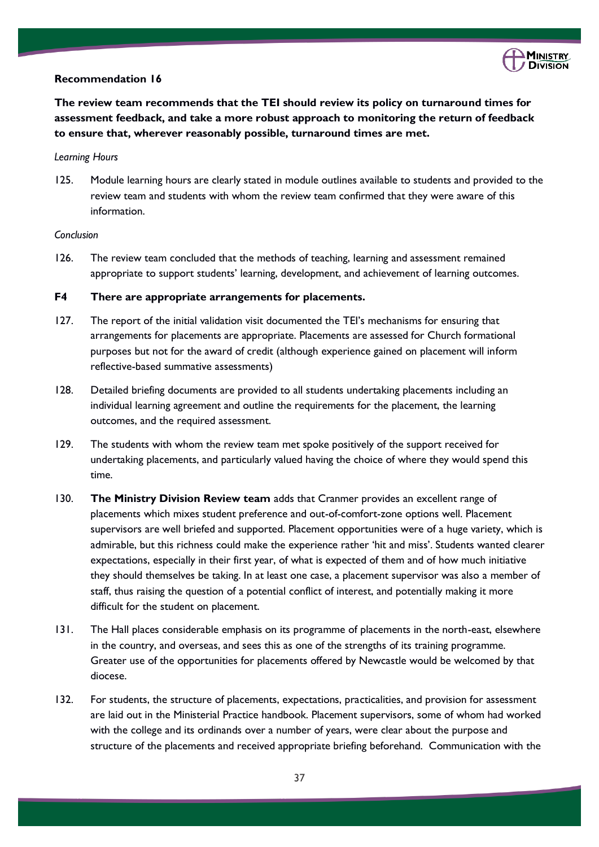

### **Recommendation 16**

**The review team recommends that the TEI should review its policy on turnaround times for assessment feedback, and take a more robust approach to monitoring the return of feedback to ensure that, wherever reasonably possible, turnaround times are met.**

#### *Learning Hours*

125. Module learning hours are clearly stated in module outlines available to students and provided to the review team and students with whom the review team confirmed that they were aware of this information.

### *Conclusion*

126. The review team concluded that the methods of teaching, learning and assessment remained appropriate to support students' learning, development, and achievement of learning outcomes.

### **F4 There are appropriate arrangements for placements.**

- 127. The report of the initial validation visit documented the TEI's mechanisms for ensuring that arrangements for placements are appropriate. Placements are assessed for Church formational purposes but not for the award of credit (although experience gained on placement will inform reflective-based summative assessments)
- 128. Detailed briefing documents are provided to all students undertaking placements including an individual learning agreement and outline the requirements for the placement, the learning outcomes, and the required assessment.
- 129. The students with whom the review team met spoke positively of the support received for undertaking placements, and particularly valued having the choice of where they would spend this time.
- 130. **The Ministry Division Review team** adds that Cranmer provides an excellent range of placements which mixes student preference and out-of-comfort-zone options well. Placement supervisors are well briefed and supported. Placement opportunities were of a huge variety, which is admirable, but this richness could make the experience rather 'hit and miss'. Students wanted clearer expectations, especially in their first year, of what is expected of them and of how much initiative they should themselves be taking. In at least one case, a placement supervisor was also a member of staff, thus raising the question of a potential conflict of interest, and potentially making it more difficult for the student on placement.
- 131. The Hall places considerable emphasis on its programme of placements in the north-east, elsewhere in the country, and overseas, and sees this as one of the strengths of its training programme. Greater use of the opportunities for placements offered by Newcastle would be welcomed by that diocese.
- 132. For students, the structure of placements, expectations, practicalities, and provision for assessment are laid out in the Ministerial Practice handbook. Placement supervisors, some of whom had worked with the college and its ordinands over a number of years, were clear about the purpose and structure of the placements and received appropriate briefing beforehand. Communication with the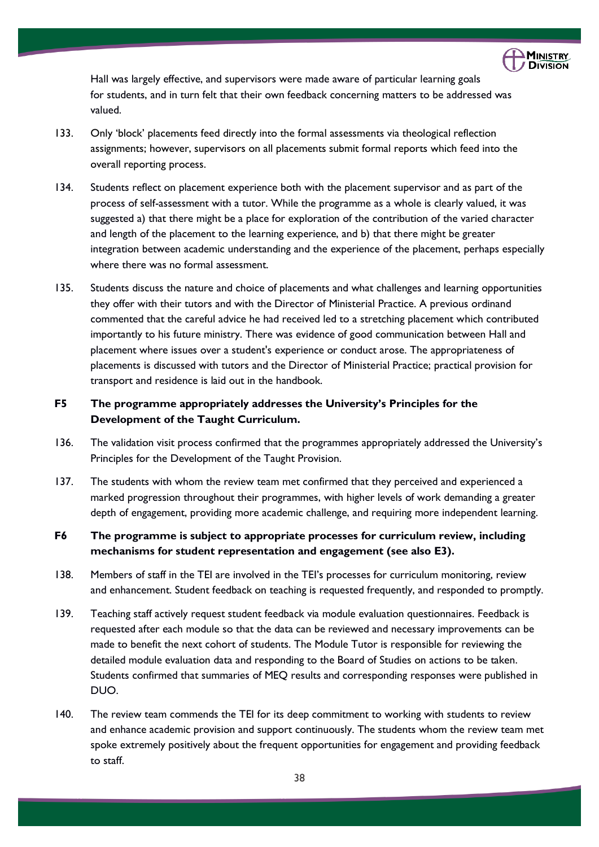

Hall was largely effective, and supervisors were made aware of particular learning goals for students, and in turn felt that their own feedback concerning matters to be addressed was valued.

- 133. Only 'block' placements feed directly into the formal assessments via theological reflection assignments; however, supervisors on all placements submit formal reports which feed into the overall reporting process.
- 134. Students reflect on placement experience both with the placement supervisor and as part of the process of self-assessment with a tutor. While the programme as a whole is clearly valued, it was suggested a) that there might be a place for exploration of the contribution of the varied character and length of the placement to the learning experience, and b) that there might be greater integration between academic understanding and the experience of the placement, perhaps especially where there was no formal assessment.
- 135. Students discuss the nature and choice of placements and what challenges and learning opportunities they offer with their tutors and with the Director of Ministerial Practice. A previous ordinand commented that the careful advice he had received led to a stretching placement which contributed importantly to his future ministry. There was evidence of good communication between Hall and placement where issues over a student's experience or conduct arose. The appropriateness of placements is discussed with tutors and the Director of Ministerial Practice; practical provision for transport and residence is laid out in the handbook.

### **F5 The programme appropriately addresses the University's Principles for the Development of the Taught Curriculum.**

- 136. The validation visit process confirmed that the programmes appropriately addressed the University's Principles for the Development of the Taught Provision.
- 137. The students with whom the review team met confirmed that they perceived and experienced a marked progression throughout their programmes, with higher levels of work demanding a greater depth of engagement, providing more academic challenge, and requiring more independent learning.

### **F6 The programme is subject to appropriate processes for curriculum review, including mechanisms for student representation and engagement (see also E3).**

- 138. Members of staff in the TEI are involved in the TEI's processes for curriculum monitoring, review and enhancement. Student feedback on teaching is requested frequently, and responded to promptly.
- 139. Teaching staff actively request student feedback via module evaluation questionnaires. Feedback is requested after each module so that the data can be reviewed and necessary improvements can be made to benefit the next cohort of students. The Module Tutor is responsible for reviewing the detailed module evaluation data and responding to the Board of Studies on actions to be taken. Students confirmed that summaries of MEQ results and corresponding responses were published in DUO.
- 140. The review team commends the TEI for its deep commitment to working with students to review and enhance academic provision and support continuously. The students whom the review team met spoke extremely positively about the frequent opportunities for engagement and providing feedback to staff.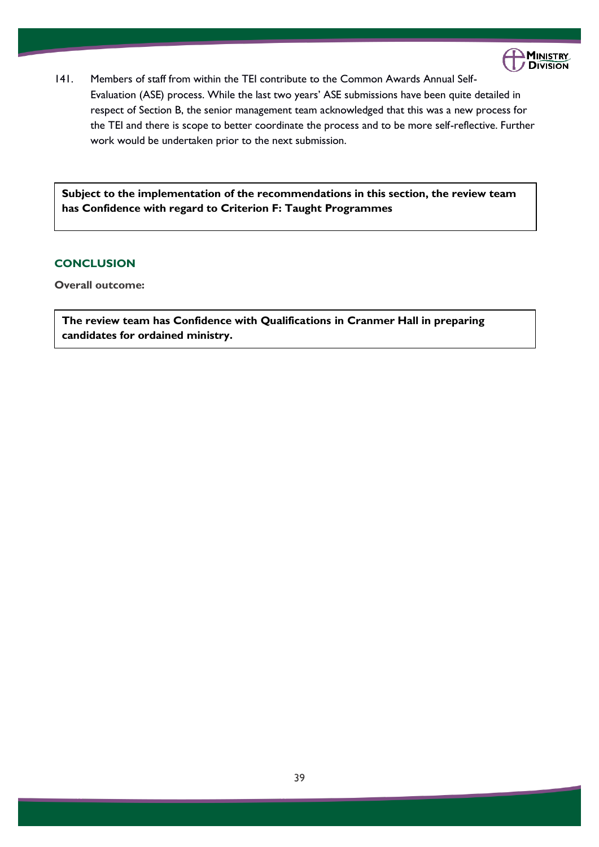

141. Members of staff from within the TEI contribute to the Common Awards Annual Self-Evaluation (ASE) process. While the last two years' ASE submissions have been quite detailed in respect of Section B, the senior management team acknowledged that this was a new process for the TEI and there is scope to better coordinate the process and to be more self-reflective. Further work would be undertaken prior to the next submission.

**Subject to the implementation of the recommendations in this section, the review team has Confidence with regard to Criterion F: Taught Programmes**

### **CONCLUSION**

**Overall outcome:** 

**The review team has Confidence with Qualifications in Cranmer Hall in preparing candidates for ordained ministry.**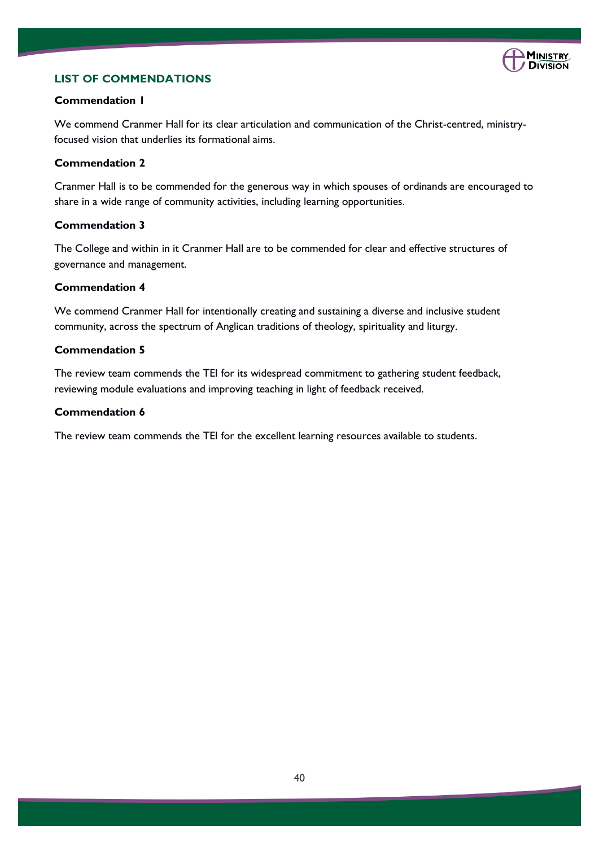

### **LIST OF COMMENDATIONS**

### **Commendation 1**

We commend Cranmer Hall for its clear articulation and communication of the Christ-centred, ministryfocused vision that underlies its formational aims.

### **Commendation 2**

Cranmer Hall is to be commended for the generous way in which spouses of ordinands are encouraged to share in a wide range of community activities, including learning opportunities.

### **Commendation 3**

The College and within in it Cranmer Hall are to be commended for clear and effective structures of governance and management.

### **Commendation 4**

We commend Cranmer Hall for intentionally creating and sustaining a diverse and inclusive student community, across the spectrum of Anglican traditions of theology, spirituality and liturgy.

### **Commendation 5**

The review team commends the TEI for its widespread commitment to gathering student feedback, reviewing module evaluations and improving teaching in light of feedback received.

### **Commendation 6**

The review team commends the TEI for the excellent learning resources available to students.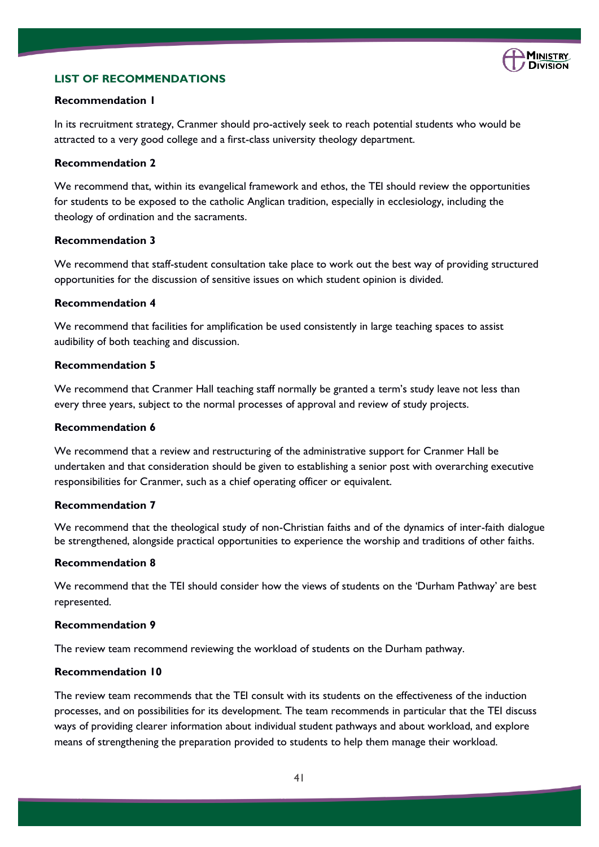

### **LIST OF RECOMMENDATIONS**

### **Recommendation 1**

In its recruitment strategy, Cranmer should pro-actively seek to reach potential students who would be attracted to a very good college and a first-class university theology department.

### **Recommendation 2**

We recommend that, within its evangelical framework and ethos, the TEI should review the opportunities for students to be exposed to the catholic Anglican tradition, especially in ecclesiology, including the theology of ordination and the sacraments.

### **Recommendation 3**

We recommend that staff-student consultation take place to work out the best way of providing structured opportunities for the discussion of sensitive issues on which student opinion is divided.

### **Recommendation 4**

We recommend that facilities for amplification be used consistently in large teaching spaces to assist audibility of both teaching and discussion.

### **Recommendation 5**

We recommend that Cranmer Hall teaching staff normally be granted a term's study leave not less than every three years, subject to the normal processes of approval and review of study projects.

### **Recommendation 6**

We recommend that a review and restructuring of the administrative support for Cranmer Hall be undertaken and that consideration should be given to establishing a senior post with overarching executive responsibilities for Cranmer, such as a chief operating officer or equivalent.

### **Recommendation 7**

We recommend that the theological study of non-Christian faiths and of the dynamics of inter-faith dialogue be strengthened, alongside practical opportunities to experience the worship and traditions of other faiths.

#### **Recommendation 8**

We recommend that the TEI should consider how the views of students on the 'Durham Pathway' are best represented.

#### **Recommendation 9**

The review team recommend reviewing the workload of students on the Durham pathway.

### **Recommendation 10**

The review team recommends that the TEI consult with its students on the effectiveness of the induction processes, and on possibilities for its development. The team recommends in particular that the TEI discuss ways of providing clearer information about individual student pathways and about workload, and explore means of strengthening the preparation provided to students to help them manage their workload.